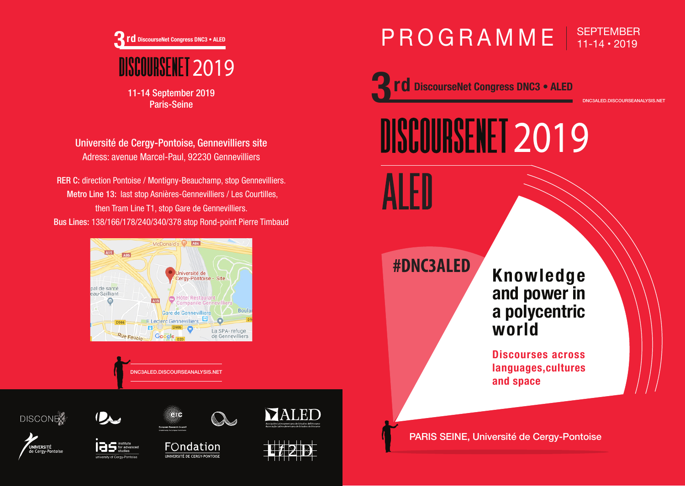

11-14 September 2019 Paris-Seine

Université de Cergy-Pontoise, Gennevilliers site Adress: avenue Marcel-Paul, 92230 Gennevilliers

RER C: direction Pontoise / Montigny-Beauchamp, stop Gennevilliers. Metro Line 13: last stop Asnières-Gennevilliers / Les Courtilles, then Tram Line T1, stop Gare de Gennevilliers. Bus Lines: 138/166/178/240/340/378 stop Rond-point Pierre Timbaud



DNC3ALED.DISCOURSEANALYSIS.NET

FOndation UNIVERSITÉ DE CERGY-PONTOISE

Q

**DISCONE** 

YAT

# PROGRAMME | SEPTEMBER

**rd** DiscourseNet Congress DNC3 • ALED

**NISCOURSENET 2019** 

**#DNC3ALED**

**Knowledge and power in a polycentric world**

DNC3ALED.DISCOURSEANALYSIS.NET

**Discourses across languages,cultures and space**

PARIS SEINE, Université de Cergy-Pontoise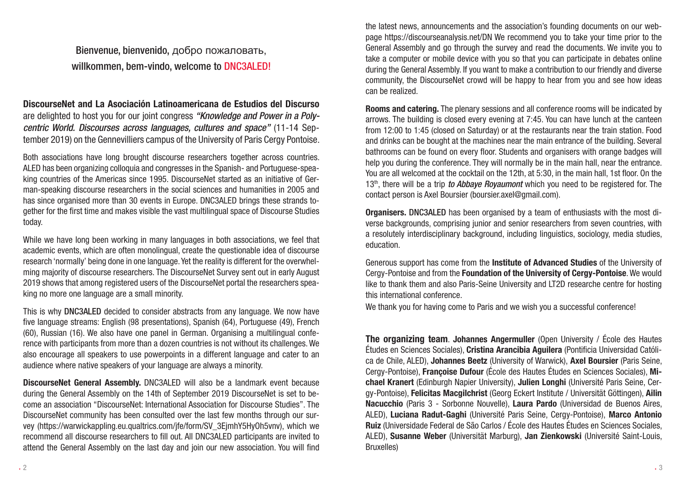Bienvenue, bienvenido, добро пожаловать, willkommen, bem-vindo, welcome to DNC3ALED!

DiscourseNet and La Asociación Latinoamericana de Estudios del Discurso are delighted to host you for our joint congress *"Knowledge and Power in a Polycentric World. Discourses across languages, cultures and space"* (11-14 September 2019) on the Gennevilliers campus of the University of Paris Cergy Pontoise.

Both associations have long brought discourse researchers together across countries. ALED has been organizing colloquia and congresses in the Spanish- and Portuguese-speaking countries of the Americas since 1995. DiscourseNet started as an initiative of German-speaking discourse researchers in the social sciences and humanities in 2005 and has since organised more than 30 events in Europe. DNC3ALED brings these strands together for the first time and makes visible the vast multilingual space of Discourse Studies today.

While we have long been working in many languages in both associations, we feel that academic events, which are often monolingual, create the questionable idea of discourse research 'normally' being done in one language. Yet the reality is different for the overwhelming majority of discourse researchers. The DiscourseNet Survey sent out in early August 2019 shows that among registered users of the DiscourseNet portal the researchers speaking no more one language are a small minority.

This is why DNC3ALED decided to consider abstracts from any language. We now have five language streams: English (98 presentations), Spanish (64), Portuguese (49), French (60), Russian (16). We also have one panel in German. Organising a multilingual conference with participants from more than a dozen countries is not without its challenges. We also encourage all speakers to use powerpoints in a different language and cater to an audience where native speakers of your language are always a minority.

DiscourseNet General Assembly. DNC3ALED will also be a landmark event because during the General Assembly on the 14th of September 2019 DiscourseNet is set to become an association "DiscourseNet: International Association for Discourse Studies". The DiscourseNet community has been consulted over the last few months through our survey (https://warwickappling.eu.qualtrics.com/jfe/form/SV\_3EjmhY5HyOh5vnv), which we recommend all discourse researchers to fill out. All DNC3ALED participants are invited to attend the General Assembly on the last day and join our new association. You will find

the latest news, announcements and the association's founding documents on our webpage https://discourseanalysis.net/DN We recommend you to take your time prior to the General Assembly and go through the survey and read the documents. We invite you to take a computer or mobile device with you so that you can participate in debates online during the General Assembly. If you want to make a contribution to our friendly and diverse community, the DiscourseNet crowd will be happy to hear from you and see how ideas can be realized.

Rooms and catering. The plenary sessions and all conference rooms will be indicated by arrows. The building is closed every evening at 7:45. You can have lunch at the canteen from 12:00 to 1:45 (closed on Saturday) or at the restaurants near the train station. Food and drinks can be bought at the machines near the main entrance of the building. Several bathrooms can be found on every floor. Students and organisers with orange badges will help you during the conference. They will normally be in the main hall, near the entrance. You are all welcomed at the cocktail on the 12th, at 5:30, in the main hall, 1st floor. On the 13th, there will be a trip *to Abbaye Royaumont* which you need to be registered for. The contact person is Axel Boursier (boursier.axel@gmail.com).

Organisers. DNC3ALED has been organised by a team of enthusiasts with the most diverse backgrounds, comprising junior and senior researchers from seven countries, with a resolutely interdisciplinary background, including linguistics, sociology, media studies, education.

Generous support has come from the Institute of Advanced Studies of the University of Cergy-Pontoise and from the Foundation of the University of Cergy-Pontoise. We would like to thank them and also Paris-Seine University and LT2D researche centre for hosting this international conference.

We thank you for having come to Paris and we wish you a successful conference!

The organizing team. Johannes Angermuller (Open University / École des Hautes Études en Sciences Sociales), Cristina Arancibia Aguilera (Pontificia Universidad Católica de Chile, ALED), Johannes Beetz (University of Warwick), Axel Boursier (Paris Seine, Cergy-Pontoise), Françoise Dufour (École des Hautes Études en Sciences Sociales), Michael Kranert (Edinburgh Napier University), Julien Longhi (Université Paris Seine, Cergy-Pontoise), Felicitas Macgilchrist (Georg Eckert Institute / Universität Göttingen), Ailin Nacucchio (Paris 3 - Sorbonne Nouvelle), Laura Pardo (Universidad de Buenos Aires, ALED), Luciana Radut-Gaghi (Université Paris Seine, Cergy-Pontoise), Marco Antonio Ruiz (Universidade Federal de São Carlos / École des Hautes Études en Sciences Sociales, ALED), Susanne Weber (Universität Marburg), Jan Zienkowski (Université Saint-Louis, Bruxelles)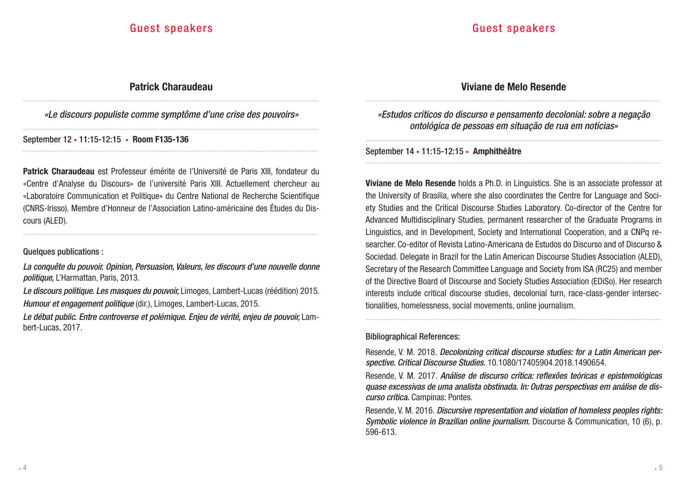### Patrick Charaudeau

..................................................................................................................................................................................................................... *«Le discours populiste comme symptôme d'une crise des pouvoirs»* .....................................................................................................................................................................................................................

.....................................................................................................................................................................................................................

September 12 • 11:15-12:15 • Room F135-136

Patrick Charaudeau est Professeur émérite de l'Université de Paris XIII, fondateur du «Centre d'Analyse du Discours» de l'université Paris XIII. Actuellement chercheur au «Laboratoire Communication et Politique» du Centre National de Recherche Scientifique (CNRS-Irisso). Membre d'Honneur de l'Association Latino-américaine des Études du Discours (ALED).

.....................................................................................................................................................................................................................

#### Quelques publications :

*La conquête du pouvoir. Opinion, Persuasion, Valeurs, les discours d'une nouvelle donne politique,* L'Harmattan, Paris, 2013.

*Le discours politique. Les masques du pouvoir,* Limoges, Lambert-Lucas (réédition) 2015. *Humour et engagement politique* (dir.), Limoges, Lambert-Lucas, 2015.

Le débat public. Entre controverse et polémique. Enjeu de vérité, enjeu de pouvoir. Lambert-Lucas, 2017.

### Viviane de Melo Resende .....................................................................................................................................................................................................................

*«Estudos críticos do discurso e pensamento decolonial: sobre a negação ontológica de pessoas em situação de rua em notícias»*

.....................................................................................................................................................................................................................

.....................................................................................................................................................................................................................

September 14 • 11:15-12:15 • Amphithéâtre

Viviane de Melo Resende holds a Ph.D. in Linguistics. She is an associate professor at the University of Brasilia, where she also coordinates the Centre for Language and Society Studies and the Critical Discourse Studies Laboratory. Co-director of the Centre for Advanced Multidisciplinary Studies, permanent researcher of the Graduate Programs in Linguistics, and in Development, Society and International Cooperation, and a CNPq researcher. Co-editor of Revista Latino-Americana de Estudos do Discurso and of Discurso & Sociedad. Delegate in Brazil for the Latin American Discourse Studies Association (ALED), Secretary of the Research Committee Language and Society from ISA (RC25) and member of the Directive Board of Discourse and Society Studies Association (EDiSo). Her research interests include critical discourse studies, decolonial turn, race-class-gender intersectionalities, homelessness, social movements, online journalism.

### Bibliographical References:

Resende, V. M. 2018. *Decolonizing critical discourse studies: for a Latin American perspective. Critical Discourse Studies.* 10.1080/17405904.2018.1490654.

.....................................................................................................................................................................................................................

Resende, V. M. 2017. *Análise de discurso crítica: reflexões teóricas e epistemológicas quase excessivas de uma analista obstinada. In: Outras perspectivas em análise de discurso crítica.* Campinas: Pontes.

Resende, V. M. 2016. *Discursive representation and violation of homeless peoples rights: Symbolic violence in Brazilian online journalism.* Discourse & Communication, 10 (6), p. 596-613.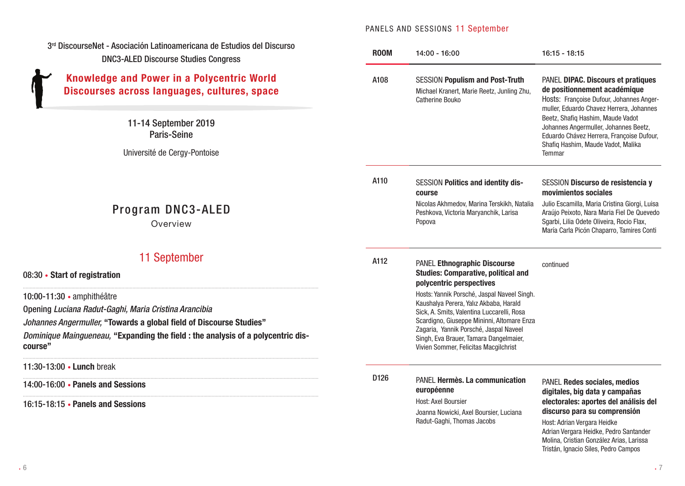### PANELS AND SESSIONS 11 September

| 3rd DiscourseNet - Asociación Latinoamericana de Estudios del Discurso<br><b>DNC3-ALED Discourse Studies Congress</b>                                                                                                                                     | <b>ROOM</b> | 14:00 - 16:00                                                                                                                                                                                                                                                                                                  | $16:15 - 18:15$                                                                                                                                                                       |
|-----------------------------------------------------------------------------------------------------------------------------------------------------------------------------------------------------------------------------------------------------------|-------------|----------------------------------------------------------------------------------------------------------------------------------------------------------------------------------------------------------------------------------------------------------------------------------------------------------------|---------------------------------------------------------------------------------------------------------------------------------------------------------------------------------------|
| <b>Knowledge and Power in a Polycentric World</b><br>Discourses across languages, cultures, space                                                                                                                                                         | A108        | <b>SESSION Populism and Post-Truth</b><br>Michael Kranert, Marie Reetz, Junling Zhu,<br>Catherine Bouko                                                                                                                                                                                                        | PANEL DIPAC. Discours et pratiques<br>de positionnement académique<br>Hosts: Françoise Dufour, Johannes Anger-<br>muller, Eduardo Chavez Herrera, Johannes                            |
| 11-14 September 2019<br><b>Paris-Seine</b>                                                                                                                                                                                                                |             |                                                                                                                                                                                                                                                                                                                | Beetz, Shafiq Hashim, Maude Vadot<br>Johannes Angermuller, Johannes Beetz,<br>Eduardo Chávez Herrera, Françoise Dufour,<br>Shafiq Hashim, Maude Vadot, Malika<br>Temmar               |
| Université de Cergy-Pontoise                                                                                                                                                                                                                              |             |                                                                                                                                                                                                                                                                                                                |                                                                                                                                                                                       |
|                                                                                                                                                                                                                                                           | A110        | <b>SESSION Politics and identity dis-</b><br>course                                                                                                                                                                                                                                                            | SESSION Discurso de resistencia y<br>movimientos sociales                                                                                                                             |
| Program DNC3-ALED<br>Overview                                                                                                                                                                                                                             |             | Nicolas Akhmedov, Marina Terskikh, Natalia<br>Peshkova, Victoria Maryanchik, Larisa<br>Popova                                                                                                                                                                                                                  | Julio Escamilla, Maria Cristina Giorgi, Luisa<br>Araújo Peixoto, Nara Maria Fiel De Quevedo<br>Sgarbi, Lilia Odete Oliveira, Rocio Flax,<br>María Carla Picón Chaparro, Tamires Conti |
| 11 September<br>08:30 • Start of registration                                                                                                                                                                                                             | A112        | <b>PANEL Ethnographic Discourse</b><br><b>Studies: Comparative, political and</b><br>polycentric perspectives                                                                                                                                                                                                  | continued                                                                                                                                                                             |
| 10:00-11:30 • amphithéâtre<br>Opening Luciana Radut-Gaghi, Maria Cristina Arancibia<br>Johannes Angermuller, "Towards a global field of Discourse Studies"<br>Dominique Maingueneau, "Expanding the field : the analysis of a polycentric dis-<br>course" |             | Hosts: Yannik Porsché, Jaspal Naveel Singh.<br>Kaushalya Perera, Yalız Akbaba, Harald<br>Sick, A. Smits, Valentina Luccarelli, Rosa<br>Scardigno, Giuseppe Mininni, Altomare Enza<br>Zagaria, Yannik Porsché, Jaspal Naveel<br>Singh, Eva Brauer, Tamara Dangelmaier,<br>Vivien Sommer, Felicitas Macgilchrist |                                                                                                                                                                                       |
| 11:30-13:00 • Lunch break                                                                                                                                                                                                                                 |             |                                                                                                                                                                                                                                                                                                                |                                                                                                                                                                                       |
| 14:00-16:00 • Panels and Sessions                                                                                                                                                                                                                         | D126        | PANEL <b>Hermès. La communication</b><br>européenne                                                                                                                                                                                                                                                            | PANEL Redes sociales, medios<br>digitales, big data y campañas                                                                                                                        |
| 16:15-18:15 • Panels and Sessions                                                                                                                                                                                                                         |             | Host: Axel Boursier<br>Joanna Nowicki, Axel Boursier, Luciana<br>Radut-Gaghi, Thomas Jacobs                                                                                                                                                                                                                    | electorales: aportes del análisis del<br>discurso para su comprensión<br>Host: Adrian Vergara Heidke<br>Adrian Vergara Heidke, Pedro Santander                                        |

Molina, Cristian González Arias, Larissa Tristán, Ignacio Siles, Pedro Campos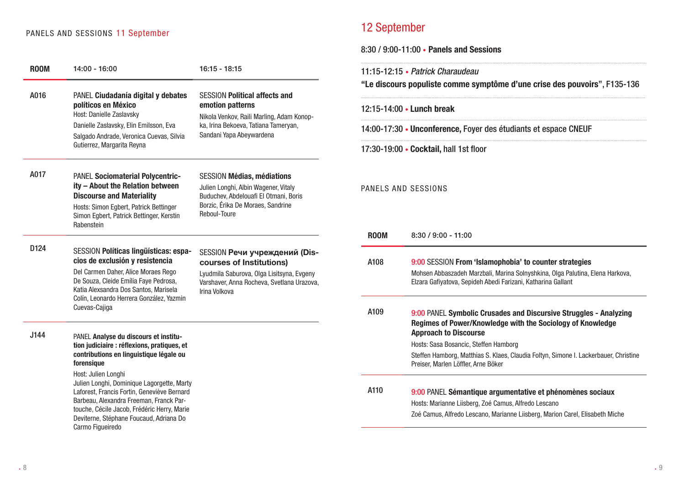### PANELS AND SESSIONS 11 September

| <b>ROOM</b> | $14:00 - 16:00$                                                                                                                                                                                                                                    | $16:15 - 18:15$                                                                                                                                                         | 11:15-12:15 • Patrick Charaudeau                                                             |                                                                                                                                                                                                                                                                                                                                         |  |
|-------------|----------------------------------------------------------------------------------------------------------------------------------------------------------------------------------------------------------------------------------------------------|-------------------------------------------------------------------------------------------------------------------------------------------------------------------------|----------------------------------------------------------------------------------------------|-----------------------------------------------------------------------------------------------------------------------------------------------------------------------------------------------------------------------------------------------------------------------------------------------------------------------------------------|--|
| A016        | PANEL Ciudadanía digital y debates                                                                                                                                                                                                                 | <b>SESSION Political affects and</b>                                                                                                                                    | "Le discours populiste comme symptôme d'une crise des pouvoirs", F135-136                    |                                                                                                                                                                                                                                                                                                                                         |  |
|             | políticos en México<br>Host: Danielle Zaslavsky                                                                                                                                                                                                    | emotion patterns<br>Nikola Venkov, Raili Marling, Adam Konop-                                                                                                           | 12:15-14:00 • Lunch break<br>14:00-17:30 • Unconference, Foyer des étudiants et espace CNEUF |                                                                                                                                                                                                                                                                                                                                         |  |
|             | Danielle Zaslavsky, Elin Emilsson, Eva<br>Salgado Andrade, Veronica Cuevas, Silvia                                                                                                                                                                 | ka, Irina Bekoeva, Tatiana Tameryan,<br>Sandani Yapa Abeywardena                                                                                                        |                                                                                              |                                                                                                                                                                                                                                                                                                                                         |  |
|             | Gutierrez, Margarita Reyna                                                                                                                                                                                                                         |                                                                                                                                                                         |                                                                                              | 17:30-19:00 • Cocktail, hall 1st floor                                                                                                                                                                                                                                                                                                  |  |
| A017        | PANEL Sociomaterial Polycentric-<br>ity - About the Relation between<br><b>Discourse and Materiality</b><br>Hosts: Simon Egbert, Patrick Bettinger<br>Simon Egbert, Patrick Bettinger, Kerstin<br>Rabenstein                                       | <b>SESSION Médias, médiations</b><br>Julien Longhi, Albin Wagener, Vitaly<br>Buduchev, Abdelouafi El Otmani, Boris<br>Borzic, Érika De Moraes, Sandrine<br>Reboul-Toure | PANELS AND SESSIONS                                                                          |                                                                                                                                                                                                                                                                                                                                         |  |
|             |                                                                                                                                                                                                                                                    |                                                                                                                                                                         | <b>ROOM</b>                                                                                  | $8:30 / 9:00 - 11:00$                                                                                                                                                                                                                                                                                                                   |  |
| D124        | SESSION Políticas lingüísticas: espa-<br>cios de exclusión y resistencia<br>Del Carmen Daher, Alice Moraes Rego<br>De Souza, Cleide Emília Faye Pedrosa,<br>Katia Alexsandra Dos Santos, Marisela                                                  | SESSION Речи учреждений (Dis-<br>courses of Institutions)<br>Lyudmila Saburova, Olga Lisitsyna, Evgeny<br>Varshaver, Anna Rocheva, Svetlana Urazova,<br>Irina Volkova   | A108                                                                                         | 9:00 SESSION From 'Islamophobia' to counter strategies<br>Mohsen Abbaszadeh Marzbali, Marina Solnyshkina, Olga Palutina, Elena Harkova,<br>Elzara Gafiyatova, Sepideh Abedi Farizani, Katharina Gallant                                                                                                                                 |  |
| J144        | Colín, Leonardo Herrera González, Yazmin<br>Cuevas-Cajiga<br>PANEL Analyse du discours et institu-<br>tion judiciaire : réflexions, pratiques, et<br>contributions en linguistique légale ou<br>forensique<br>Host: Julien Longhi                  |                                                                                                                                                                         | A109                                                                                         | 9:00 PANEL Symbolic Crusades and Discursive Struggles - Analyzing<br>Regimes of Power/Knowledge with the Sociology of Knowledge<br><b>Approach to Discourse</b><br>Hosts: Sasa Bosancic, Steffen Hamborg<br>Steffen Hamborg, Matthias S. Klaes, Claudia Foltyn, Simone I. Lackerbauer, Christine<br>Preiser, Marlen Löffler, Arne Böker |  |
|             | Julien Longhi, Dominique Lagorgette, Marty<br>Laforest, Francis Fortin, Geneviève Bernard<br>Barbeau, Alexandra Freeman, Franck Par-<br>touche, Cécile Jacob, Frédéric Herry, Marie<br>Deviterne, Stéphane Foucaud, Adriana Do<br>Carmo Figueiredo |                                                                                                                                                                         | A110                                                                                         | 9:00 PANEL Sémantique argumentative et phénomènes sociaux<br>Hosts: Marianne Liisberg, Zoé Camus, Alfredo Lescano<br>Zoé Camus, Alfredo Lescano, Marianne Liisberg, Marion Carel, Elisabeth Miche                                                                                                                                       |  |

12 September

8:30 / 9:00-11:00 • Panels and Sessions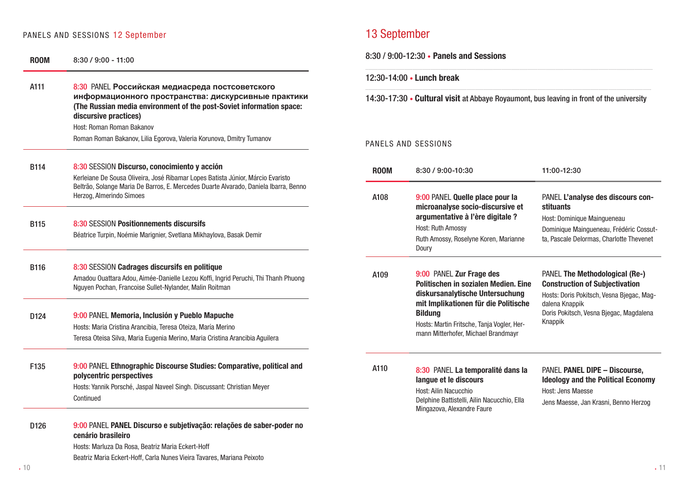## PANELS AND SESSIONS 12 September 13 September 13 September

| <b>ROOM</b> | $8:30 / 9:00 - 11:00$                                                                                                                                                                          | $8.30 / 9.00 - 12.30$ • Panels and Sessions                                              |                                                                                                                                                                  |                                                                                                                                                |  |
|-------------|------------------------------------------------------------------------------------------------------------------------------------------------------------------------------------------------|------------------------------------------------------------------------------------------|------------------------------------------------------------------------------------------------------------------------------------------------------------------|------------------------------------------------------------------------------------------------------------------------------------------------|--|
| A111        | 8:30 PANEL Российская медиасреда постсоветского                                                                                                                                                | 12:30-14:00 • Lunch break                                                                |                                                                                                                                                                  |                                                                                                                                                |  |
|             | информационного пространства: дискурсивные практики<br>(The Russian media environment of the post-Soviet information space:<br>discursive practices)<br>Host: Roman Roman Bakanov              | 14:30-17:30 • Cultural visit at Abbaye Royaumont, bus leaving in front of the university |                                                                                                                                                                  |                                                                                                                                                |  |
|             | Roman Roman Bakanov, Lilia Egorova, Valeria Korunova, Dmitry Tumanov                                                                                                                           |                                                                                          | PANELS AND SESSIONS                                                                                                                                              |                                                                                                                                                |  |
| <b>B114</b> | 8:30 SESSION Discurso, conocimiento y acción<br>Kerleiane De Sousa Oliveira, José Ribamar Lopes Batista Júnior, Márcio Evaristo                                                                | <b>ROOM</b>                                                                              | 8:30 / 9:00-10:30                                                                                                                                                | 11:00-12:30                                                                                                                                    |  |
|             | Beltrão, Solange Maria De Barros, E. Mercedes Duarte Alvarado, Daniela Ibarra, Benno<br>Herzog, Almerindo Simoes                                                                               | A108                                                                                     | 9:00 PANEL Quelle place pour la<br>microanalyse socio-discursive et                                                                                              | PANEL L'analyse des discours con                                                                                                               |  |
| <b>B115</b> | 8:30 SESSION Positionnements discursifs<br>Béatrice Turpin, Noémie Marignier, Svetlana Mikhaylova, Basak Demir                                                                                 |                                                                                          | argumentative à l'ère digitale ?<br><b>Host: Ruth Amossy</b><br>Ruth Amossy, Roselyne Koren, Marianne<br>Doury                                                   | <b>stituants</b><br>Host: Dominique Maingueneau<br>Dominique Maingueneau, Frédéric Cossu<br>ta, Pascale Delormas, Charlotte Thevene            |  |
| <b>B116</b> | 8:30 SESSION Cadrages discursifs en politique<br>Amadou Ouattara Adou, Aimée-Danielle Lezou Koffi, Ingrid Peruchi, Thi Thanh Phuong<br>Nguyen Pochan, Francoise Sullet-Nylander, Malin Roitman | A109                                                                                     | 9:00 PANEL Zur Frage des<br>Politischen in sozialen Medien. Eine<br>diskursanalytische Untersuchung                                                              | <b>PANEL The Methodological (Re-)</b><br><b>Construction of Subjectivation</b><br>Hosts: Doris Pokitsch, Vesna Bjegac, Ma                      |  |
| D124        | 9:00 PANEL Memoria, Inclusión y Pueblo Mapuche<br>Hosts: Maria Cristina Arancibia, Teresa Oteiza, María Merino<br>Teresa Oteisa Silva, Maria Eugenia Merino, Maria Cristina Arancibia Aguilera |                                                                                          | mit Implikationen für die Politische<br><b>Bildung</b><br>Hosts: Martin Fritsche, Tanja Vogler, Her-<br>mann Mitterhofer, Michael Brandmayr                      | dalena Knappik<br>Doris Pokitsch, Vesna Bjegac, Magdalena<br>Knappik                                                                           |  |
| F135        | 9:00 PANEL Ethnographic Discourse Studies: Comparative, political and<br>polycentric perspectives<br>Hosts: Yannik Porsché, Jaspal Naveel Singh. Discussant: Christian Meyer<br>Continued      | A110                                                                                     | 8:30 PANEL La temporalité dans la<br>langue et le discours<br>Host: Ailin Nacucchio<br>Delphine Battistelli, Ailin Nacucchio, Ella<br>Mingazova, Alexandre Faure | <b>PANEL PANEL DIPE - Discourse,</b><br><b>Ideology and the Political Econom</b><br>Host: Jens Maesse<br>Jens Maesse, Jan Krasni, Benno Herzog |  |
| D126        | 9:00 PANEL PANEL Discurso e subjetivação: relações de saber-poder no<br>cenário brasileiro                                                                                                     |                                                                                          |                                                                                                                                                                  |                                                                                                                                                |  |
|             | Hosts: Marluza Da Rosa, Beatriz Maria Eckert-Hoff<br>Beatriz Maria Eckert-Hoff, Carla Nunes Vieira Tavares, Mariana Peixoto                                                                    |                                                                                          |                                                                                                                                                                  |                                                                                                                                                |  |

8:30 / 9:00-12:30 • Panels and Sessions

### 12:30-14:00 • Lunch break

#### PANELS AND SESSIONS

| <b>ROOM</b> | 8:30 / 9:00-10:30                                                                                                                                                                                                                                  | 11:00-12:30                                                                                                                                                                                         |  |  |
|-------------|----------------------------------------------------------------------------------------------------------------------------------------------------------------------------------------------------------------------------------------------------|-----------------------------------------------------------------------------------------------------------------------------------------------------------------------------------------------------|--|--|
| A108        | 9:00 PANEL Quelle place pour la<br>microanalyse socio-discursive et<br>argumentative à l'ère digitale ?<br><b>Host: Ruth Amossy</b><br>Ruth Amossy, Roselyne Koren, Marianne<br>Doury                                                              | PANEL L'analyse des discours con-<br><b>stituants</b><br>Host: Dominique Maingueneau<br>Dominique Maingueneau, Frédéric Cossut-<br>ta, Pascale Delormas, Charlotte Thevenet                         |  |  |
| A109        | 9:00 PANEL Zur Frage des<br>Politischen in sozialen Medien. Eine<br>diskursanalytische Untersuchung<br>mit Implikationen für die Politische<br><b>Bildung</b><br>Hosts: Martin Fritsche, Tanja Vogler, Her-<br>mann Mitterhofer, Michael Brandmayr | <b>PANEL The Methodological (Re-)</b><br><b>Construction of Subjectivation</b><br>Hosts: Doris Pokitsch, Vesna Bjegac, Mag-<br>dalena Knappik<br>Doris Pokitsch, Vesna Bjegac, Magdalena<br>Knappik |  |  |
| A110        | 8:30 PANEL La temporalité dans la<br>langue et le discours<br>Host: Ailin Nacucchio<br>Delphine Battistelli, Ailin Nacucchio, Ella<br>Mingazova, Alexandre Faure                                                                                   | <b>PANEL PANEL DIPE - Discourse,</b><br><b>Ideology and the Political Economy</b><br>Host: Jens Maesse<br>Jens Maesse, Jan Krasni, Benno Herzog                                                     |  |  |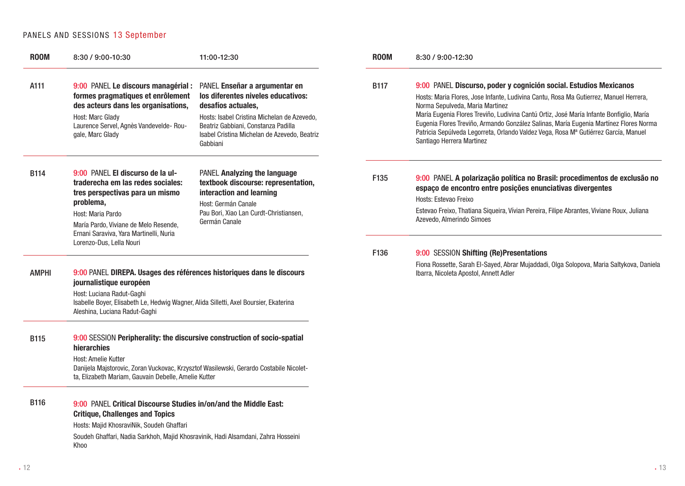### PANELS AND SESSIONS 13 September

| <b>ROOM</b>  | 8:30 / 9:00-10:30                                                                                                                                                                                                                                                | 11:00-12:30                                                                                                                                                                                                                                 | <b>ROOM</b> | 8:30 / 9:00-12:30                                                                                                                                                                                                                                                                                                                                                                                                                                                                                     |
|--------------|------------------------------------------------------------------------------------------------------------------------------------------------------------------------------------------------------------------------------------------------------------------|---------------------------------------------------------------------------------------------------------------------------------------------------------------------------------------------------------------------------------------------|-------------|-------------------------------------------------------------------------------------------------------------------------------------------------------------------------------------------------------------------------------------------------------------------------------------------------------------------------------------------------------------------------------------------------------------------------------------------------------------------------------------------------------|
| A111         | 9:00 PANEL Le discours managérial :<br>formes pragmatiques et enrôlement<br>des acteurs dans les organisations,<br>Host: Marc Glady<br>Laurence Servel, Agnès Vandevelde- Rou-<br>gale, Marc Glady                                                               | PANEL Enseñar a argumentar en<br>los diferentes niveles educativos:<br>desafíos actuales,<br>Hosts: Isabel Cristina Michelan de Azevedo,<br>Beatriz Gabbiani, Constanza Padilla<br>Isabel Cristina Michelan de Azevedo, Beatriz<br>Gabbiani | <b>B117</b> | 9:00 PANEL Discurso, poder y cognición social. Estudios Mexicanos<br>Hosts: Maria Flores, Jose Infante, Ludivina Cantu, Rosa Ma Gutierrez, Manuel Herrera,<br>Norma Sepulveda, Maria Martinez<br>María Eugenia Flores Treviño, Ludivina Cantú Ortiz, José María Infante Bonfiglio, María<br>Eugenia Flores Treviño, Armando González Salinas, María Eugenia Martínez Flores Norma<br>Patricia Sepúlveda Legorreta, Orlando Valdez Vega, Rosa Mª Gutiérrez García, Manuel<br>Santiago Herrera Martinez |
| <b>B114</b>  | 9:00 PANEL El discurso de la ul-<br>traderecha em las redes sociales:<br>tres perspectivas para un mismo<br>problema,<br>Host: Maria Pardo<br>María Pardo, Viviane de Melo Resende,<br>Ernani Saraviva, Yara Martinelli, Nuria<br>Lorenzo-Dus, Lella Nouri       | PANEL Analyzing the language<br>textbook discourse: representation,<br>interaction and learning<br>Host: Germán Canale<br>Pau Bori, Xiao Lan Curdt-Christiansen,<br>Germán Canale                                                           | F135        | 9:00 PANEL A polarização política no Brasil: procedimentos de exclusão no<br>espaço de encontro entre posições enunciativas divergentes<br>Hosts: Estevao Freixo<br>Estevao Freixo, Thatiana Siqueira, Vívian Pereira, Filipe Abrantes, Viviane Roux, Juliana<br>Azevedo, Almerindo Simoes                                                                                                                                                                                                            |
| <b>AMPHI</b> | 9:00 PANEL DIREPA. Usages des références historiques dans le discours<br>journalistique européen<br>Host: Luciana Radut-Gaghi<br>Isabelle Boyer, Elisabeth Le, Hedwig Wagner, Alida Silletti, Axel Boursier, Ekaterina<br>Aleshina, Luciana Radut-Gaghi          |                                                                                                                                                                                                                                             | F136        | 9:00 SESSION Shifting (Re)Presentations<br>Fiona Rossette, Sarah El-Sayed, Abrar Mujaddadi, Olga Solopova, Maria Saltykova, Daniela<br>Ibarra, Nicoleta Apostol, Annett Adler                                                                                                                                                                                                                                                                                                                         |
| <b>B115</b>  | 9:00 SESSION Peripherality: the discursive construction of socio-spatial<br>hierarchies<br>Host: Amelie Kutter<br>Danijela Majstorovic, Zoran Vuckovac, Krzysztof Wasilewski, Gerardo Costabile Nicolet-<br>ta, Elizabeth Mariam, Gauvain Debelle, Amelie Kutter |                                                                                                                                                                                                                                             |             |                                                                                                                                                                                                                                                                                                                                                                                                                                                                                                       |
| <b>B116</b>  | 9:00 PANEL Critical Discourse Studies in/on/and the Middle East:<br><b>Critique, Challenges and Topics</b><br>Hosts: Majid KhosraviNik, Soudeh Ghaffari<br>Soudeh Ghaffari, Nadia Sarkhoh, Majid Khosravinik, Hadi Alsamdani, Zahra Hosseini<br>Khoo             |                                                                                                                                                                                                                                             |             |                                                                                                                                                                                                                                                                                                                                                                                                                                                                                                       |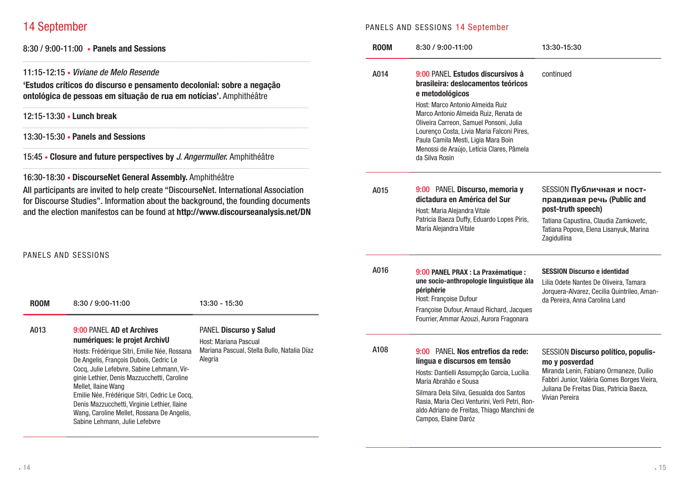### 14 September

8:30 / 9:00-11:00 • Panels and Sessions

### 11:15-12:15 • *Viviane de Melo Resende*

'Estudos críticos do discurso e pensamento decolonial: sobre a negação ontológica de pessoas em situação de rua em notícias'. Amphithéâtre

...............................................................................................................................................................................................................

..............................................................................................................................................................................................................

..............................................................................................................................................................................................................

..............................................................................................................................................................................................................

..............................................................................................................................................................................................................

### 12:15-13:30 • Lunch break

13:30-15:30 • Panels and Sessions

15:45 • Closure and future perspectives by *J. Angermuller.* Amphithéâtre

16:30-18:30 • DiscourseNet General Assembly. Amphithéâtre

All participants are invited to help create "DiscourseNet. International Association for Discourse Studies". Information about the background, the founding documents and the election manifestos can be found at http://www.discourseanalysis.net/DN

#### PANELS AND SESSIONS

| <b>ROOM</b> | 8:30 / 9:00-11:00                                                                                                                                                                                                                                                                                                                                                                                                                                         | 13:30 - 15:30                                                                                             | A016 | 9:00 PANEL PRAX : La Praxématique :<br>une socio-anthropologie linguistique à la<br>périphérie<br>Host: Françoise Dufour<br>Françoise Dufour, Arnaud Richard, Jacques<br>Fourrier, Ammar Azouzi, Aurora Fragonara                                                                                             | <b>SESSION Discurso e identidad</b><br>Lilia Odete Nantes De Oliveira, Tamara<br>Jorquera-Alvarez, Cecilia Quintrileo, Aman-<br>da Pereira. Anna Carolina Land                                                |
|-------------|-----------------------------------------------------------------------------------------------------------------------------------------------------------------------------------------------------------------------------------------------------------------------------------------------------------------------------------------------------------------------------------------------------------------------------------------------------------|-----------------------------------------------------------------------------------------------------------|------|---------------------------------------------------------------------------------------------------------------------------------------------------------------------------------------------------------------------------------------------------------------------------------------------------------------|---------------------------------------------------------------------------------------------------------------------------------------------------------------------------------------------------------------|
| A013        | 9:00 PANEL AD et Archives<br>numériques: le projet ArchivU<br>Hosts: Frédérique Sitri, Emilie Née, Rossana<br>De Angelis, François Dubois, Cedric Le<br>Cocq, Julie Lefebvre, Sabine Lehmann, Vir-<br>ginie Lethier, Denis Mazzucchetti, Caroline<br>Mellet, Ilaine Wang<br>Emilie Née, Frédérique Sitri, Cedric Le Cocq,<br>Denis Mazzucchetti, Virginie Lethier, Ilaine<br>Wang, Caroline Mellet, Rossana De Angelis,<br>Sabine Lehmann, Julie Lefebvre | PANEL Discurso y Salud<br>Host: Mariana Pascual<br>Mariana Pascual, Stella Bullo, Natalia Díaz<br>Alegría | A108 | 9:00 PANEL Nos entrefios da rede:<br>língua e discursos em tensão<br>Hosts: Dantielli Assumpção Garcia, Lucília<br>Maria Abrahão e Sousa<br>Silmara Dela Silva, Gesualda dos Santos<br>Rasia, Maria Cleci Venturini, Verli Petri, Ron-<br>aldo Adriano de Freitas, Thiago Manchini de<br>Campos, Elaine Daróz | SESSION Discurso político, populis-<br>mo y posverdad<br>Miranda Lenin, Fabiano Ormaneze, Duilio<br>Fabbri Junior, Valéria Gomes Borges Vieira,<br>Juliana De Freitas Dias, Patricia Baeza,<br>Vivian Pereira |

### PANELS AND SESSIONS 14 September

| <b>ROOM</b> | 8:30 / 9:00-11:00<br>13:30-15:30                                                                                                                                                                                                                                         |                                                                                                                                                                |  |
|-------------|--------------------------------------------------------------------------------------------------------------------------------------------------------------------------------------------------------------------------------------------------------------------------|----------------------------------------------------------------------------------------------------------------------------------------------------------------|--|
| A014        | 9:00 PANEL Estudos discursivos à<br>brasileira: deslocamentos teóricos<br>e metodológicos                                                                                                                                                                                | continued                                                                                                                                                      |  |
|             | Host: Marco Antonio Almeida Ruiz<br>Marco Antonio Almeida Ruiz, Renata de<br>Oliveira Carreon, Samuel Ponsoni, Julia<br>Lourenço Costa, Livia Maria Falconi Pires,<br>Paula Camila Mesti, Ligia Mara Boin<br>Menossi de Araújo, Letícia Clares, Pâmela<br>da Silva Rosin |                                                                                                                                                                |  |
| A015        | 9:00 PANEL Discurso, memoria y<br>dictadura en América del Sur<br>Host: Maria Alejandra Vitale                                                                                                                                                                           | SESSION Публичная и пост-<br>правдивая речь (Public and<br>post-truth speech)                                                                                  |  |
|             | Patricia Baeza Duffy, Eduardo Lopes Piris,<br>María Alejandra Vitale                                                                                                                                                                                                     | Tatiana Capustina, Claudia Zamkovetc,<br>Tatiana Popova, Elena Lisanyuk, Marina<br>Zagidullina                                                                 |  |
| A016        | 9:00 PANEL PRAX : La Praxématique :<br>une socio-anthropologie linguistique àla<br>périphérie<br>Host: Françoise Dufour                                                                                                                                                  | <b>SESSION Discurso e identidad</b><br>Lilia Odete Nantes De Oliveira, Tamara<br>Jorquera-Alvarez, Cecilia Quintrileo, Aman-<br>da Pereira, Anna Carolina Land |  |
|             | Françoise Dufour, Arnaud Richard, Jacques<br>Fourrier, Ammar Azouzi, Aurora Fragonara                                                                                                                                                                                    |                                                                                                                                                                |  |
| A108        | 9:00 PANEL Nos entrefios da rede:                                                                                                                                                                                                                                        | <b>SESSION Discurso político, populis-</b>                                                                                                                     |  |
|             | língua e discursos em tensão<br>Hosts: Dantielli Assumpção Garcia, Lucília<br>Maria Abrahão e Sousa                                                                                                                                                                      | mo y posverdad<br>Miranda Lenin, Fabiano Ormaneze, Duilio<br>Fabbri Junior, Valéria Gomes Borges Vieira,                                                       |  |
|             | Silmara Dela Silva, Gesualda dos Santos<br>Rasia, Maria Cleci Venturini, Verli Petri, Ron-<br>aldo Adriano de Freitas, Thiago Manchini de<br>Campos, Elaine Daróz                                                                                                        | Juliana De Freitas Dias, Patricia Baeza,<br>Vivian Pereira                                                                                                     |  |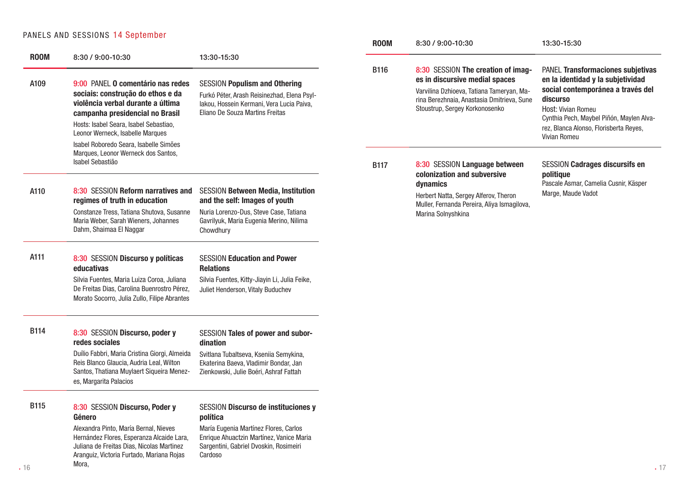### PANELS AND SESSIONS 14 September

|             |                                                                                                                                                                                                                                                                        |                                                                                                                                                                     | <b>ROOM</b> | 8:30 / 9:00-10:30                                                                                                                                                                                 | 13:30-15:30                                                                                                                                                                                                                                                |
|-------------|------------------------------------------------------------------------------------------------------------------------------------------------------------------------------------------------------------------------------------------------------------------------|---------------------------------------------------------------------------------------------------------------------------------------------------------------------|-------------|---------------------------------------------------------------------------------------------------------------------------------------------------------------------------------------------------|------------------------------------------------------------------------------------------------------------------------------------------------------------------------------------------------------------------------------------------------------------|
| <b>ROOM</b> | 8:30 / 9:00-10:30                                                                                                                                                                                                                                                      | 13:30-15:30                                                                                                                                                         |             |                                                                                                                                                                                                   |                                                                                                                                                                                                                                                            |
| A109        | 9:00 PANEL O comentário nas redes<br>sociais: construção do ethos e da<br>violência verbal durante a última<br>campanha presidencial no Brasil<br>Hosts: Isabel Seara, Isabel Sebastiao,<br>Leonor Werneck, Isabelle Marques<br>Isabel Roboredo Seara, Isabelle Simões | <b>SESSION Populism and Othering</b><br>Furkó Péter, Arash Reisinezhad, Elena Psyl-<br>lakou, Hossein Kermani, Vera Lucia Paiva,<br>Eliano De Souza Martins Freitas | <b>B116</b> | 8:30 SESSION The creation of imag-<br>es in discursive medial spaces<br>Varvilina Dzhioeva, Tatiana Tameryan, Ma-<br>rina Berezhnaia, Anastasia Dmitrieva, Sune<br>Stoustrup, Sergey Korkonosenko | PANEL Transformaciones subjetivas<br>en la identidad y la subjetividad<br>social contemporánea a través del<br>discurso<br>Host: Vivian Romeu<br>Cynthia Pech, Maybel Piñón, Maylen Alva-<br>rez, Blanca Alonso, Florisberta Reves,<br><b>Vivian Romeu</b> |
|             | Marques, Leonor Werneck dos Santos,<br>Isabel Sebastião                                                                                                                                                                                                                |                                                                                                                                                                     | <b>B117</b> | 8:30 SESSION Language between<br>colonization and subversive                                                                                                                                      | <b>SESSION Cadrages discursifs en</b><br>politique                                                                                                                                                                                                         |
| A110        | 8:30 SESSION Reform narratives and<br>regimes of truth in education                                                                                                                                                                                                    | <b>SESSION Between Media, Institution</b><br>and the self: Images of youth                                                                                          |             | dynamics<br>Herbert Natta, Sergey Alferov, Theron<br>Muller, Fernanda Pereira, Aliya Ismagilova,                                                                                                  | Pascale Asmar, Camelia Cusnir, Käsper<br>Marge, Maude Vadot                                                                                                                                                                                                |
|             | Constanze Tress, Tatiana Shutova, Susanne<br>Maria Weber, Sarah Wieners, Johannes<br>Dahm, Shaimaa El Naggar                                                                                                                                                           | Nuria Lorenzo-Dus, Steve Case, Tatiana<br>Gavrilyuk, Maria Eugenia Merino, Nilima<br>Chowdhury                                                                      |             | Marina Solnyshkina                                                                                                                                                                                |                                                                                                                                                                                                                                                            |
| A111        | 8:30 SESSION Discurso y políticas<br>educativas                                                                                                                                                                                                                        | <b>SESSION Education and Power</b><br><b>Relations</b>                                                                                                              |             |                                                                                                                                                                                                   |                                                                                                                                                                                                                                                            |
|             | Silvia Fuentes, Maria Luiza Coroa, Juliana<br>De Freitas Dias, Carolina Buenrostro Pérez,<br>Morato Socorro, Julia Zullo, Filipe Abrantes                                                                                                                              | Silvia Fuentes, Kitty-Jiayin Li, Julia Feike,<br>Juliet Henderson, Vitaly Buduchev                                                                                  |             |                                                                                                                                                                                                   |                                                                                                                                                                                                                                                            |
| <b>B114</b> | 8:30 SESSION Discurso, poder y<br>redes sociales                                                                                                                                                                                                                       | SESSION Tales of power and subor-<br>dination                                                                                                                       |             |                                                                                                                                                                                                   |                                                                                                                                                                                                                                                            |
|             | Duílio Fabbri, Maria Cristina Giorgi, Almeida<br>Reis Blanco Glaucia, Audria Leal, Wilton<br>Santos, Thatiana Muylaert Siqueira Menez-<br>es, Margarita Palacios                                                                                                       | Svitlana Tubaltseva, Kseniia Semykina,<br>Ekaterina Baeva, Vladimir Bondar, Jan<br>Zienkowski, Julie Boéri, Ashraf Fattah                                           |             |                                                                                                                                                                                                   |                                                                                                                                                                                                                                                            |
| <b>B115</b> | 8:30 SESSION Discurso, Poder y<br>Género                                                                                                                                                                                                                               | <b>SESSION Discurso de instituciones y</b><br>política                                                                                                              |             |                                                                                                                                                                                                   |                                                                                                                                                                                                                                                            |
|             | Alexandra Pinto, María Bernal, Nieves<br>Hernández Flores, Esperanza Alcaide Lara,<br>Juliana de Freitas Dias, Nicolas Martinez<br>Aranguiz, Victoria Furtado, Mariana Rojas                                                                                           | María Eugenia Martínez Flores, Carlos<br>Enrique Ahuactzin Martínez, Vanice Maria<br>Sargentini, Gabriel Dvoskin, Rosimeiri<br>Cardoso                              |             |                                                                                                                                                                                                   |                                                                                                                                                                                                                                                            |

Mora,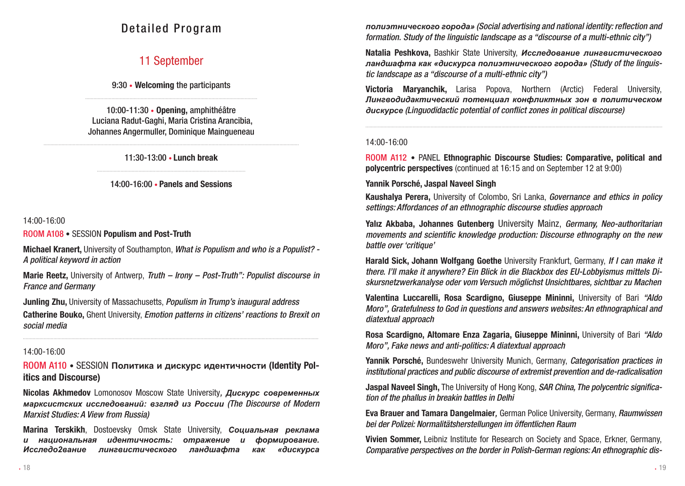### Detailed Program

### 11 September

9:30 • Welcoming the participants ............................................................................................................................

10:00-11:30 • Opening, amphithéâtre Luciana Radut-Gaghi, Maria Cristina Arancibia, Johannes Angermuller, Dominique Maingueneau

........................................................................................................................................................................................ 11:30-13:00 • Lunch break

> ........................................................................................................... 14:00-16:00 • Panels and Sessions

### 14:00-16:00

ROOM A108 • SESSION Populism and Post-Truth

Michael Kranert, University of Southampton, *What is Populism and who is a Populist? - A political keyword in action*

Marie Reetz, University of Antwerp, *Truth – Irony – Post-Truth": Populist discourse in France and Germany*

Junling Zhu, University of Massachusetts, *Populism in Trump's inaugural address*

Catherine Bouko, Ghent University, *Emotion patterns in citizens' reactions to Brexit on social media*

.....................................................................................................................................................................................................................

### 14:00-16:00

ROOM A110 • SESSION **Политика и дискурс идентичности** (Identity Politics and Discourse)

Nicolas Akhmedov Lomonosov Moscow State University*, Дискурс современных марксистских исследований: взгляд из России (The Discourse of Modern Marxist Studies: A View from Russia)*

Marina Terskikh, Dostoevsky Omsk State University, *Социальная реклама и национальная идентичность: отражение и формирование. Исследо2вание лингвистического ландшафта как «дискурса*  *полиэтнического города» (Social advertising and national identity: reflection and formation. Study of the linguistic landscape as a "discourse of a multi-ethnic city")*

Natalia Peshkova, Bashkir State University, *Исследование лингвистического ландшафта как «дискурса полиэтнического города» (Study of the linguistic landscape as a "discourse of a multi-ethnic city")*

Victoria Maryanchik, Larisa Popova, Northern (Arctic) Federal University, *Лингводидактический потенциал конфликтных зон в политическом дискурсе (Linguodidactic potential of conflict zones in political discourse)*

......................................................................................................................................................................................................................

#### 14:00-16:00

ROOM A112 • PANEL Ethnographic Discourse Studies: Comparative, political and polycentric perspectives (continued at 16:15 and on September 12 at 9:00)

### Yannik Porsché, Jaspal Naveel Singh

Kaushalya Perera, University of Colombo, Sri Lanka, *Governance and ethics in policy settings: Affordances of an ethnographic discourse studies approach*

Yalız Akbaba, Johannes Gutenberg University Mainz, *Germany, Neo-authoritarian movements and scientific knowledge production: Discourse ethnography on the new battle over 'critique'*

Harald Sick, Johann Wolfgang Goethe University Frankfurt, Germany, *If I can make it there. I'll make it anywhere? Ein Blick in die Blackbox des EU-Lobbyismus mittels Diskursnetzwerkanalyse oder vom Versuch möglichst Unsichtbares, sichtbar zu Machen*

Valentina Luccarelli, Rosa Scardigno, Giuseppe Mininni, University of Bari *"Aldo Moro", Gratefulness to God in questions and answers websites: An ethnographical and diatextual approach*

Rosa Scardigno, Altomare Enza Zagaria, Giuseppe Mininni, University of Bari *"Aldo Moro", Fake news and anti-politics: A diatextual approach*

Yannik Porsché, Bundeswehr University Munich, Germany, *Categorisation practices in institutional practices and public discourse of extremist prevention and de-radicalisation*

Jaspal Naveel Singh, The University of Hong Kong, *SAR China, The polycentric signification of the phallus in breakin battles in Delhi*

Eva Brauer and Tamara Dangelmaier*,* German Police University, Germany, *Raumwissen bei der Polizei: Normalitätsherstellungen im öffentlichen Raum*

Vivien Sommer, Leibniz Institute for Research on Society and Space, Erkner, Germany, *Comparative perspectives on the border in Polish-German regions: An ethnographic dis-*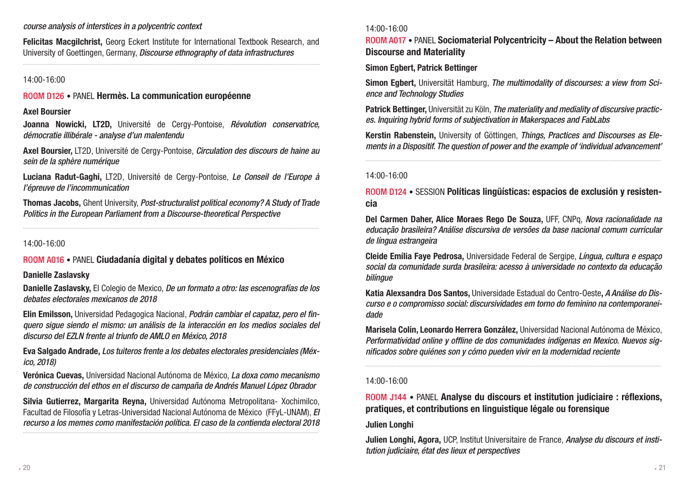#### *course analysis of interstices in a polycentric context*

Felicitas Macgilchrist, Georg Eckert Institute for International Textbook Research, and University of Goettingen, Germany, *Discourse ethnography of data infrastructures*

......................................................................................................................................................................................................................

#### 14:00-16:00

### ROOM D126 • PANEL Hermès. La communication européenne

#### Axel Boursier

Joanna Nowicki, LT2D, Université de Cergy-Pontoise, *Révolution conservatrice, démocratie illibérale - analyse d'un malentendu*

Axel Boursier, LT2D, Université de Cergy-Pontoise, *Circulation des discours de haine au sein de la sphère numérique*

Luciana Radut-Gaghi, LT2D, Université de Cergy-Pontoise, *Le Conseil de l'Europe à l'épreuve de l'incommunication*

Thomas Jacobs, Ghent University, *Post-structuralist political economy? A Study of Trade Politics in the European Parliament from a Discourse-theoretical Perspective*

.....................................................................................................................................................................................................................

#### 14:00-16:00

### ROOM A016 • PANEL Ciudadanía digital y debates políticos en México

#### Danielle Zaslavsky

Danielle Zaslavsky, El Colegio de Mexico, *De un formato a otro: las escenografías de los debates electorales mexicanos de 2018*

Elin Emilsson, Universidad Pedagogica Nacional, *Podrán cambiar el capataz, pero el finquero sigue siendo el mismo: un análisis de la interacción en los medios sociales del discurso del EZLN frente al triunfo de AMLO en México, 2018*

Eva Salgado Andrade, *Los tuiteros frente a los debates electorales presidenciales (México, 2018)*

Verónica Cuevas, Universidad Nacional Autónoma de México, *La doxa como mecanismo de construcción del ethos en el discurso de campaña de Andrés Manuel López Obrador*

Silvia Gutierrez, Margarita Reyna, Universidad Autónoma Metropolitana- Xochimilco, Facultad de Filosofía y Letras-Universidad Nacional Autónoma de México (FFyL-UNAM), *El recurso a los memes como manifestación política. El caso de la contienda electoral 2018*

.....................................................................................................................................................................................................................

#### 14:00-16:00

ROOM A017 • PANEL Sociomaterial Polycentricity – About the Relation between Discourse and Materiality

### Simon Egbert, Patrick Bettinger

Simon Egbert, Universität Hamburg, *The multimodality of discourses: a view from Science and Technology Studies*

Patrick Bettinger, Universität zu Köln, *The materiality and mediality of discursive practices. Inquiring hybrid forms of subjectivation in Makerspaces and FabLabs*

Kerstin Rabenstein, University of Göttingen, *Things, Practices and Discourses as Elements in a Dispositif. The question of power and the example of 'individual advancement'*

.....................................................................................................................................................................................................................

### 14:00-16:00

### ROOM D124 • SESSION Políticas lingüísticas: espacios de exclusión y resistencia

Del Carmen Daher, Alice Moraes Rego De Souza, UFF, CNPq, *Nova racionalidade na educação brasileira? Análise discursiva de versões da base nacional comum curricular de língua estrangeira*

Cleide Emília Faye Pedrosa, Universidade Federal de Sergipe, *Língua, cultura e espaço social da comunidade surda brasileira: acesso à universidade no contexto da educação bilíngue*

Katia Alexsandra Dos Santos, Universidade Estadual do Centro-Oeste, *A Análise do Discurso e o compromisso social: discursividades em torno do feminino na contemporaneidade*

Marisela Colín, Leonardo Herrera González, Universidad Nacional Autónoma de México, *Performatividad online y offline de dos comunidades indígenas en Mexico. Nuevos significados sobre quiénes son y cómo pueden vivir en la modernidad reciente*

.....................................................................................................................................................................................................................

#### 14:00-16:00

### ROOM J144 • PANEL Analyse du discours et institution judiciaire : réflexions, pratiques, et contributions en linguistique légale ou forensique

#### Julien Longhi

Julien Longhi, Agora, UCP, Institut Universitaire de France, *Analyse du discours et institution judiciaire, état des lieux et perspectives*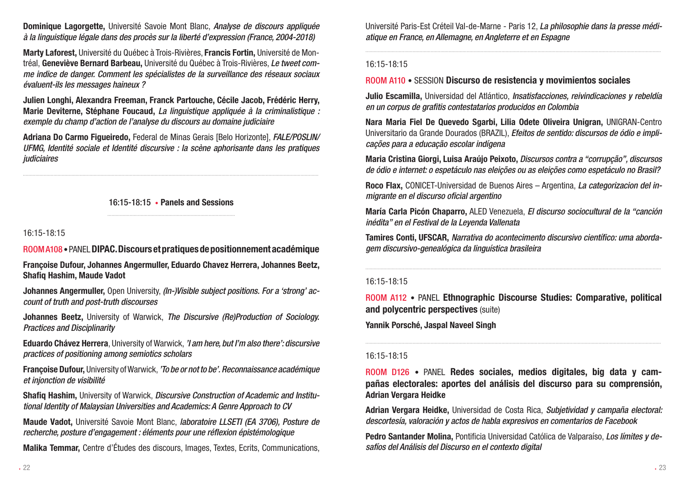Dominique Lagorgette, Université Savoie Mont Blanc, *Analyse de discours appliquée à la linguistique légale dans des procès sur la liberté d'expression (France, 2004-2018)*

Marty Laforest, Université du Québec à Trois-Rivières, Francis Fortin, Université de Montréal, Geneviève Bernard Barbeau, Université du Québec à Trois-Rivières, *Le tweet comme indice de danger. Comment les spécialistes de la surveillance des réseaux sociaux évaluent-ils les messages haineux ?*

Julien Longhi, Alexandra Freeman, Franck Partouche, Cécile Jacob, Frédéric Herry, Marie Deviterne, Stéphane Foucaud, *La linguistique appliquée à la criminalistique : exemple du champ d'action de l'analyse du discours au domaine judiciaire*

Adriana Do Carmo Figueiredo, Federal de Minas Gerais [Belo Horizonte], *FALE/POSLIN/ UFMG, Identité sociale et Identité discursive : la scène aphorisante dans les pratiques judiciaires*

16:15-18:15 • Panels and Sessions

.....................................................................................................................................................................................................................

16:15-18:15

### ROOM A108 • PANEL DIPAC. Discours et pratiques de positionnement académique

Françoise Dufour, Johannes Angermuller, Eduardo Chavez Herrera, Johannes Beetz, Shafiq Hashim, Maude Vadot

Johannes Angermuller, Open University, *(In-)Visible subject positions. For a 'strong' account of truth and post-truth discourses*

Johannes Beetz, University of Warwick, *The Discursive (Re)Production of Sociology. Practices and Disciplinarity*

Eduardo Chávez Herrera, University of Warwick, *'I am here, but I'm also there': discursive practices of positioning among semiotics scholars*

Françoise Dufour, University of Warwick, *'To be or not to be'. Reconnaissance académique et injonction de visibilité*

Shafiq Hashim, University of Warwick, *Discursive Construction of Academic and Institutional Identity of Malaysian Universities and Academics: A Genre Approach to CV*

Maude Vadot, Université Savoie Mont Blanc, *laboratoire LLSETI (EA 3706), Posture de recherche, posture d'engagement : éléments pour une réflexion épistémologique*

Malika Temmar, Centre d'Études des discours, Images, Textes, Ecrits, Communications,

Université Paris-Est Créteil Val-de-Marne - Paris 12, *La philosophie dans la presse médiatique en France, en Allemagne, en Angleterre et en Espagne*

.....................................................................................................................................................................................................................

### 16:15-18:15

### ROOM A110 • SESSION Discurso de resistencia y movimientos sociales

Julio Escamilla, Universidad del Atlántico, *Insatisfacciones, reivindicaciones y rebeldía en un corpus de grafitis contestatarios producidos en Colombia*

Nara Maria Fiel De Quevedo Sgarbi, Lilia Odete Oliveira Unigran, UNIGRAN-Centro Universitario da Grande Dourados (BRAZIL), *Efeitos de sentido: discursos de ódio e implicações para a educação escolar indígena*

Maria Cristina Giorgi, Luisa Araújo Peixoto, *Discursos contra a "corrupção", discursos de ódio e internet: o espetáculo nas eleições ou as eleições como espetáculo no Brasil?*

Roco Flax, CONICET-Universidad de Buenos Aires – Argentina, *La categorizacion del inmigrante en el discurso oficial argentino*

María Carla Picón Chaparro, ALED Venezuela, *El discurso sociocultural de la "canción inédita" en el Festival de la Leyenda Vallenata*

Tamires Conti, UFSCAR, *Narrativa do acontecimento discursivo científico: uma abordagem discursivo-genealógica da linguística brasileira*

.....................................................................................................................................................................................................................

#### 16:15-18:15

ROOM A112 • PANEL Ethnographic Discourse Studies: Comparative, political and polycentric perspectives (suite)

Yannik Porsché, Jaspal Naveel Singh

### 16:15-18:15

ROOM D126 • PANEL Redes sociales, medios digitales, big data y campañas electorales: aportes del análisis del discurso para su comprensión, Adrian Vergara Heidke

Adrian Vergara Heidke, Universidad de Costa Rica, *Subjetividad y campaña electoral: descortesía, valoración y actos de habla expresivos en comentarios de Facebook*

Pedro Santander Molina, Pontificia Universidad Católica de Valparaíso, *Los límites y desafíos del Análisis del Discurso en el contexto digital*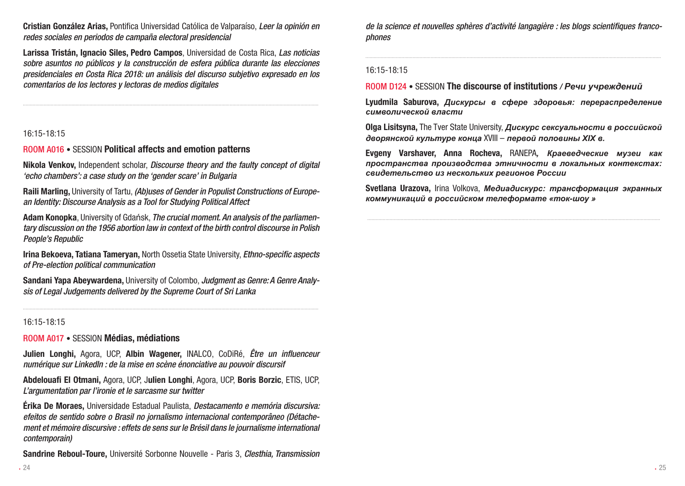Cristian González Arias, Pontifica Universidad Católica de Valparaíso, *Leer la opinión en redes sociales en periodos de campaña electoral presidencial*

Larissa Tristán, Ignacio Siles, Pedro Campos, Universidad de Costa Rica, *Las noticias sobre asuntos no públicos y la construcción de esfera pública durante las elecciones presidenciales en Costa Rica 2018: un análisis del discurso subjetivo expresado en los comentarios de los lectores y lectoras de medios digitales*

.....................................................................................................................................................................................................................

### 16:15-18:15

### ROOM A016 • SESSION Political affects and emotion patterns

Nikola Venkov, Independent scholar, *Discourse theory and the faulty concept of digital 'echo chambers': a case study on the 'gender scare' in Bulgaria*

Raili Marling, University of Tartu, *(Ab)uses of Gender in Populist Constructions of European Identity: Discourse Analysis as a Tool for Studying Political Affect*

Adam Konopka, University of Gdańsk, *The crucial moment. An analysis of the parliamentary discussion on the 1956 abortion law in context of the birth control discourse in Polish People's Republic*

Irina Bekoeva, Tatiana Tameryan, North Ossetia State University, *Ethno-specific aspects of Pre-election political communication*

Sandani Yapa Abeywardena, University of Colombo, *Judgment as Genre: A Genre Analysis of Legal Judgements delivered by the Supreme Court of Sri Lanka*

#### 16:15-18:15

#### ROOM A017 • SESSION Médias, médiations

Julien Longhi, Agora, UCP, Albin Wagener, INALCO, CoDiRé, *Être un influenceur numérique sur LinkedIn : de la mise en scène énonciative au pouvoir discursif*

Abdelouafi El Otmani, Agora, UCP, Julien Longhi, Agora, UCP, Boris Borzic, ETIS, UCP, *L'argumentation par l'ironie et le sarcasme sur twitter*

Érika De Moraes, Universidade Estadual Paulista, *Destacamento e memória discursiva: efeitos de sentido sobre o Brasil no jornalismo internacional contemporâneo (Détachement et mémoire discursive : effets de sens sur le Brésil dans le journalisme international contemporain)*

Sandrine Reboul-Toure, Université Sorbonne Nouvelle - Paris 3, *Clesthia, Transmission* 

*de la science et nouvelles sphères d'activité langagière : les blogs scientifiques francophones*

.....................................................................................................................................................................................................................

### 16:15-18:15

### ROOM D124 • SESSION The discourse of institutions */ Речи учреждений*

Lyudmila Saburova, *Дискурсы в сфере здоровья: перераспределение символической власти*

Olga Lisitsyna, The Tver State University, *Дискурс сексуальности в российской дворянской культуре конца* XVIII – *первой половины XIX в.* 

Evgeny Varshaver, Anna Rocheva, RANEPA*, Краеведческие музеи как пространства производства этничности в локальных контекстах: свидетельство из нескольких регионов России*

Svetlana Urazova, Irina Volkova, *Mедиадискурс: трансформация экранных коммуникаций в российском телеформате «ток-шоу »*

...................................................................................................................................................................................................................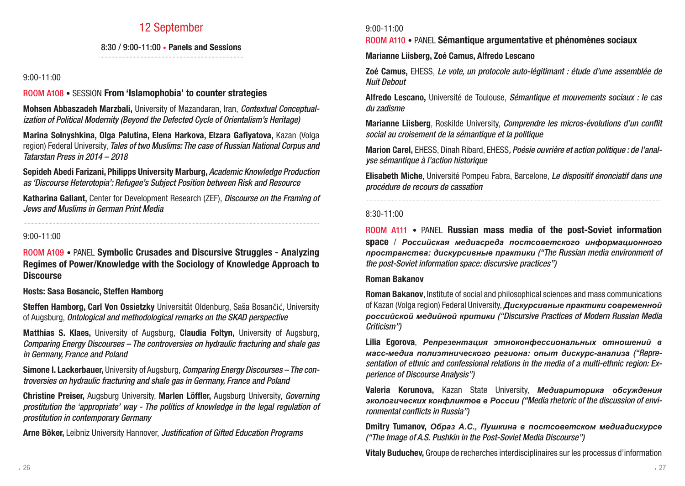### 12 September

### 8:30 / 9:00-11:00 • Panels and Sessions

### 9:00-11:00

### ROOM A108 • SESSION From 'Islamophobia' to counter strategies

Mohsen Abbaszadeh Marzbali, University of Mazandaran, Iran, *Contextual Conceptualization of Political Modernity (Beyond the Defected Cycle of Orientalism's Heritage)*

Marina Solnyshkina, Olga Palutina, Elena Harkova, Elzara Gafiyatova, Kazan (Volga region) Federal University, *Tales of two Muslims: The case of Russian National Corpus and Tatarstan Press in 2014 – 2018*

Sepideh Abedi Farizani, Philipps University Marburg, *Academic Knowledge Production as 'Discourse Heterotopia': Refugee's Subject Position between Risk and Resource*

Katharina Gallant, Center for Development Research (ZEF), *Discourse on the Framing of Jews and Muslims in German Print Media*

.....................................................................................................................................................................................................................

### 9:00-11:00

### ROOM A109 • PANEL Symbolic Crusades and Discursive Struggles - Analyzing Regimes of Power/Knowledge with the Sociology of Knowledge Approach to **Discourse**

### Hosts: Sasa Bosancic, Steffen Hamborg

Steffen Hamborg, Carl Von Ossietzky Universität Oldenburg, Saša Bosančić, University of Augsburg, *Ontological and methodological remarks on the SKAD perspective*

Matthias S. Klaes, University of Augsburg, Claudia Foltyn, University of Augsburg, *Comparing Energy Discourses – The controversies on hydraulic fracturing and shale gas in Germany, France and Poland*

Simone I. Lackerbauer, University of Augsburg, *Comparing Energy Discourses – The controversies on hydraulic fracturing and shale gas in Germany, France and Poland*

Christine Preiser, Augsburg University, Marlen Löffler, Augsburg University, *Governing prostitution the 'appropriate' way - The politics of knowledge in the legal regulation of prostitution in contemporary Germany*

Arne Böker, Leibniz University Hannover, *Justification of Gifted Education Programs*

### 9:00-11:00

### ROOM A110 • PANEL Sémantique argumentative et phénomènes sociaux

### Marianne Liisberg, Zoé Camus, Alfredo Lescano

Zoé Camus, EHESS, *Le vote, un protocole auto-légitimant : étude d'une assemblée de Nuit Debout*

Alfredo Lescano, Université de Toulouse, *Sémantique et mouvements sociaux : le cas du zadisme*

Marianne Liisberg, Roskilde University, *Comprendre les micros-évolutions d'un conflit social au croisement de la sémantique et la politique*

Marion Carel, EHESS, Dinah Ribard, EHESS*, Poésie ouvrière et action politique : de l'analyse sémantique à l'action historique*

Elisabeth Miche, Université Pompeu Fabra, Barcelone, *Le dispositif énonciatif dans une procédure de recours de cassation*

.....................................................................................................................................................................................................................

### 8:30-11:00

ROOM A111 • PANEL Russian mass media of the post-Soviet information space / *Российская медиасреда постсоветского информационного пространства: дискурсивные практики ("The Russian media environment of the post-Soviet information space: discursive practices")*

### Roman Bakanov

Roman Bakanov, Institute of social and philosophical sciences and mass communications of Kazan (Volga region) Federal University, *Дискурсивные практики современной российской медийной критики ("Discursive Practices of Modern Russian Media Criticism")*

Lilia Egorova, *Репрезентация этноконфессиональных отношений в масс-медиа полиэтнического региона: опыт дискурс-анализа ("Representation of ethnic and confessional relations in the media of a multi-ethnic region: Experience of Discourse Analysis")*

Valeria Korunova, Kazan State University, *Медиариторика обсуждения экологических конфликтов в России ("Media rhetoric of the discussion of environmental conflicts in Russia")*

Dmitry Tumanov, *Образ А.С., Пушкина в постсоветском медиадискурсе ("The Image of A.S. Pushkin in the Post-Soviet Media Discourse")*

Vitaly Buduchev, Groupe de recherches interdisciplinaires sur les processus d'information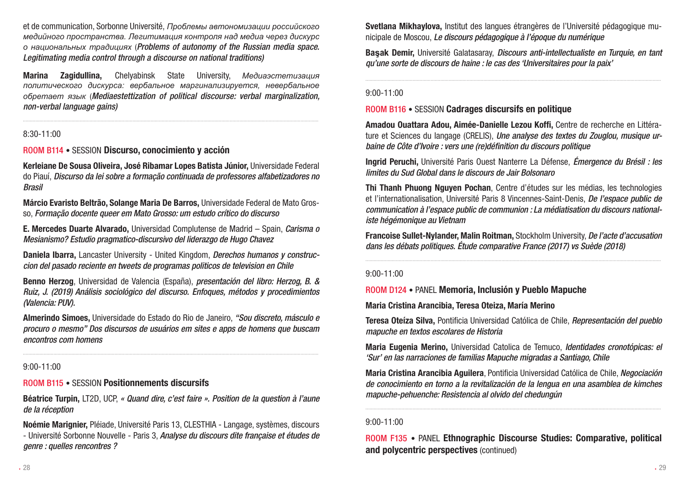et de communication, Sorbonne Université, *Проблемы автономизации российского медийного пространства. Легитимация контроля над медиа через дискурс о национальных традициях* (*Problems of autonomy of the Russian media space. Legitimating media control through a discourse on national traditions)*

Marina Zagidullina, Chelyabinsk State University, *Медиаэстетизация политического дискурса: вербальное маргинализируется, невербальное обретает язык* (*Mediaestettization of political discourse: verbal marginalization, non-verbal language gains)*

.....................................................................................................................................................................................................................

### 8:30-11:00

ROOM B114 • SESSION Discurso, conocimiento y acción

Kerleiane De Sousa Oliveira, José Ribamar Lopes Batista Júnior, Universidade Federal do Piauí, *Discurso da lei sobre a formação continuada de professores alfabetizadores no Brasil*

Márcio Evaristo Beltrão, Solange Maria De Barros, Universidade Federal de Mato Grosso, *Formação docente queer em Mato Grosso: um estudo crítico do discurso*

E. Mercedes Duarte Alvarado, Universidad Complutense de Madrid – Spain, *Carisma o Mesianismo? Estudio pragmatico-discursivo del liderazgo de Hugo Chavez*

Daniela Ibarra, Lancaster University - United Kingdom, *Derechos humanos y construccion del pasado reciente en tweets de programas politicos de television en Chile*

Benno Herzog, Universidad de Valencia (España), *presentación del libro: Herzog, B. & Ruiz, J. (2019) Análisis sociológico del discurso. Enfoques, métodos y procedimientos (Valencia: PUV).*

Almerindo Simoes, Universidade do Estado do Rio de Janeiro, *"Sou discreto, másculo e procuro o mesmo" Dos discursos de usuários em sites e apps de homens que buscam encontros com homens*

### 9:00-11:00

### ROOM B115 • SESSION Positionnements discursifs

Béatrice Turpin, LT2D, UCP, *« Quand dire, c'est faire ». Position de la question à l'aune de la réception*

Noémie Marignier, Pléiade, Université Paris 13, CLESTHIA - Langage, systèmes, discours - Université Sorbonne Nouvelle - Paris 3, *Analyse du discours dite française et études de genre : quelles rencontres ?*

Svetlana Mikhaylova, Institut des langues étrangères de l'Université pédagogique municipale de Moscou, *Le discours pédagogique à l'époque du numérique*

Ba**ş**ak Demir, Université Galatasaray, *Discours anti-intellectualiste en Turquie, en tant qu'une sorte de discours de haine : le cas des 'Universitaires pour la paix'*

.....................................................................................................................................................................................................................

### 9:00-11:00

### ROOM B116 • SESSION Cadrages discursifs en politique

Amadou Ouattara Adou, Aimée-Danielle Lezou Koffi, Centre de recherche en Littérature et Sciences du langage (CRELIS), *Une analyse des textes du Zouglou, musique urbaine de Côte d'Ivoire : vers une (re)définition du discours politique*

Ingrid Peruchi, Université Paris Ouest Nanterre La Défense, *Émergence du Brésil : les limites du Sud Global dans le discours de Jair Bolsonaro*

Thi Thanh Phuong Nguyen Pochan, Centre d'études sur les médias, les technologies et l'internationalisation, Université Paris 8 Vincennes-Saint-Denis, *De l'espace public de communication à l'espace public de communion : La médiatisation du discours nationaliste hégémonique au Vietnam*

Francoise Sullet-Nylander, Malin Roitman, Stockholm University, *De l'acte d'accusation dans les débats politiques. Étude comparative France (2017) vs Suède (2018)*

.....................................................................................................................................................................................................................

### 9:00-11:00

ROOM D124 • PANEL Memoria, Inclusión y Pueblo Mapuche

Maria Cristina Arancibia, Teresa Oteiza, María Merino

Teresa Oteíza Silva, Pontificia Universidad Católica de Chile, *Representación del pueblo mapuche en textos escolares de Historia*

Maria Eugenia Merino, Universidad Catolica de Temuco, *Identidades cronotópicas: el 'Sur' en las narraciones de familias Mapuche migradas a Santiago, Chile*

Maria Cristina Arancibia Aguilera, Pontificia Universidad Católica de Chile, *Negociación de conocimiento en torno a la revitalización de la lengua en una asamblea de kimches mapuche-pehuenche: Resistencia al olvido del chedungún*

### 9:00-11:00

ROOM F135 • PANEL Ethnographic Discourse Studies: Comparative, political and polycentric perspectives (continued)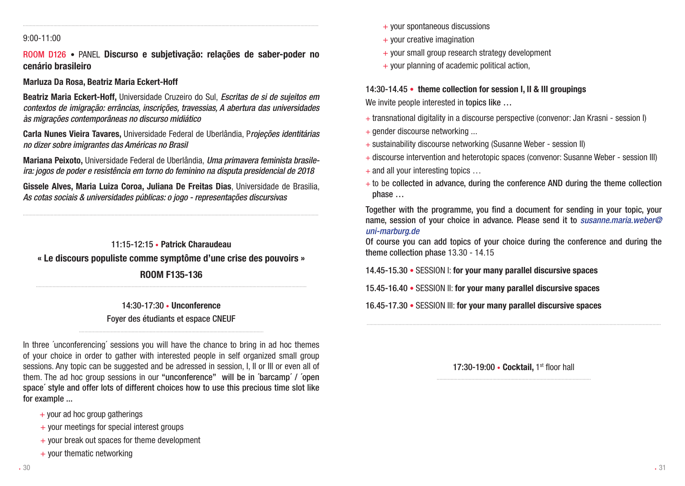### 9:00-11:00

ROOM D126 • PANEL Discurso e subjetivação: relações de saber-poder no cenário brasileiro

.....................................................................................................................................................................................................................

### Marluza Da Rosa, Beatriz Maria Eckert-Hoff

Beatriz Maria Eckert-Hoff, Universidade Cruzeiro do Sul, *Escritas de si de sujeitos em contextos de imigração: errâncias, inscrições, travessias, A abertura das universidades às migrações contemporâneas no discurso midiático*

Carla Nunes Vieira Tavares, Universidade Federal de Uberlândia, P*rojeções identitárias no dizer sobre imigrantes das Américas no Brasil*

Mariana Peixoto, Universidade Federal de Uberlândia, *Uma primavera feminista brasileira: jogos de poder e resistência em torno do feminino na disputa presidencial de 2018*

Gissele Alves, Maria Luiza Coroa, Juliana De Freitas Dias, Universidade de Brasilia, *As cotas sociais & universidades públicas: o jogo - representações discursivas*

.....................................................................................................................................................................................................................

11:15-12:15 • Patrick Charaudeau « Le discours populiste comme symptôme d'une crise des pouvoirs » ROOM F135-136

> 14:30-17:30 • Unconference Foyer des étudiants et espace CNEUF

...................................................................................................................................................................................................

In three ´unconferencing´ sessions you will have the chance to bring in ad hoc themes of your choice in order to gather with interested people in self organized small group sessions. Any topic can be suggested and be adressed in session, I, II or III or even all of them. The ad hoc group sessions in our "unconference" will be in ´barcamp´ / ´open space´ style and offer lots of different choices how to use this precious time slot like for example ...

- $+$  your ad hoc group gatherings
- + your meetings for special interest groups
- + your break out spaces for theme development
- $+$  your thematic networking
- $+$  your spontaneous discussions
- $+$  your creative imagination
- + your small group research strategy development
- $+$  your planning of academic political action.

#### 14:30-14.45 • theme collection for session I, II & III groupings

We invite people interested in topics like ...

- + transnational digitality in a discourse perspective (convenor: Jan Krasni session I)
- + gender discourse networking ...
- + sustainability discourse networking (Susanne Weber session II)
- + discourse intervention and heterotopic spaces (convenor: Susanne Weber session III)
- $+$  and all your interesting topics  $\dots$
- $+$  to be collected in advance, during the conference AND during the theme collection phase …

Together with the programme, you find a document for sending in your topic, your name, session of your choice in advance. Please send it to *susanne.maria.weber@ uni-marburg.de*

Of course you can add topics of your choice during the conference and during the theme collection phase 13.30 - 14.15

14.45-15.30 • SESSION I: for your many parallel discursive spaces

15.45-16.40 • SESSION II: for your many parallel discursive spaces

16.45-17.30 • SESSION III: for your many parallel discursive spaces

17:30-19:00 • Cocktail, 1st floor hall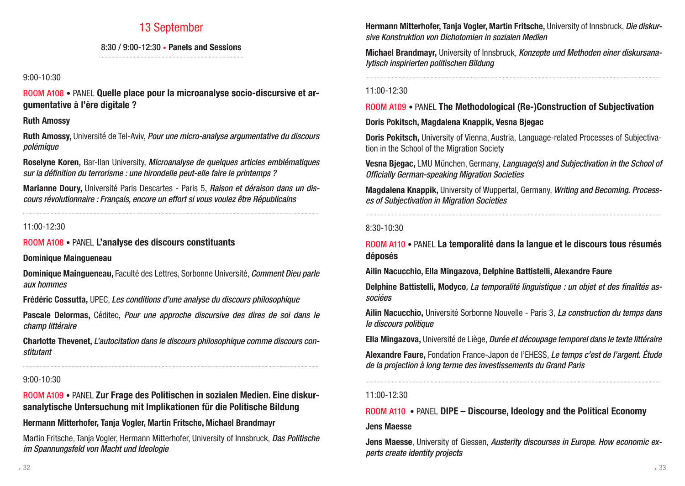### 13 September

### 8:30 / 9:00-12:30 • Panels and Sessions

### 9:00-10:30

ROOM A108 • PANEL Quelle place pour la microanalyse socio-discursive et argumentative à l'ère digitale ?

### Ruth Amossy

Ruth Amossy, Université de Tel-Aviv, *Pour une micro-analyse argumentative du discours polémique*

Roselyne Koren, Bar-Ilan University, *Microanalyse de quelques articles emblématiques sur la définition du terrorisme : une hirondelle peut-elle faire le printemps ?*

Marianne Doury, Université Paris Descartes - Paris 5, *Raison et déraison dans un discours révolutionnaire : Français, encore un effort si vous voulez être Républicains*

.....................................................................................................................................................................................................................

### 11:00-12:30

ROOM A108 • PANEL L'analyse des discours constituants

### Dominique Maingueneau

Dominique Maingueneau, Faculté des Lettres, Sorbonne Université, *Comment Dieu parle aux hommes*

Frédéric Cossutta, UPEC, *Les conditions d'une analyse du discours philosophique*

Pascale Delormas, Céditec, *Pour une approche discursive des dires de soi dans le champ littéraire*

Charlotte Thevenet, *L'autocitation dans le discours philosophique comme discours constitutant*

.....................................................................................................................................................................................................................

### 9:00-10:30

ROOM A109 • PANEL Zur Frage des Politischen in sozialen Medien. Eine diskursanalytische Untersuchung mit Implikationen für die Politische Bildung

### Hermann Mitterhofer, Tanja Vogler, Martin Fritsche, Michael Brandmayr

Martin Fritsche, Tanja Vogler, Hermann Mitterhofer, University of Innsbruck, *Das Politische im Spannungsfeld von Macht und Ideologie*

Hermann Mitterhofer, Tanja Vogler, Martin Fritsche, University of Innsbruck, *Die diskursive Konstruktion von Dichotomien in sozialen Medien*

Michael Brandmayr, University of Innsbruck, *Konzepte und Methoden einer diskursanalytisch inspirierten politischen Bildung*

.....................................................................................................................................................................................................................

### 11:00-12:30

### ROOM A109 • PANEL The Methodological (Re-)Construction of Subjectivation

### Doris Pokitsch, Magdalena Knappik, Vesna Bjegac

Doris Pokitsch, University of Vienna, Austria, Language-related Processes of Subjectivation in the School of the Migration Society

Vesna Bjegac, LMU München, Germany, *Language(s) and Subjectivation in the School of Officially German-speaking Migration Societies*

Magdalena Knappik, University of Wuppertal, Germany, *Writing and Becoming. Processes of Subjectivation in Migration Societies*

.....................................................................................................................................................................................................................

### 8:30-10:30

### ROOM A110 • PANEL La temporalité dans la langue et le discours tous résumés déposés

### Ailin Nacucchio, Ella Mingazova, Delphine Battistelli, Alexandre Faure

Delphine Battistelli, Modyco*, La temporalité linguistique : un objet et des finalités associées*

Ailin Nacucchio, Université Sorbonne Nouvelle - Paris 3, *La construction du temps dans le discours politique*

Ella Mingazova, Université de Liège, *Durée et découpage temporel dans le texte littéraire*

Alexandre Faure, Fondation France-Japon de l'EHESS, *Le temps c'est de l'argent. Étude de la projection à long terme des investissements du Grand Paris*

### 11:00-12:30

### ROOM A110 • PANEL DIPE – Discourse, Ideology and the Political Economy

### Jens Maesse

Jens Maesse, University of Giessen, *Austerity discourses in Europe. How economic experts create identity projects*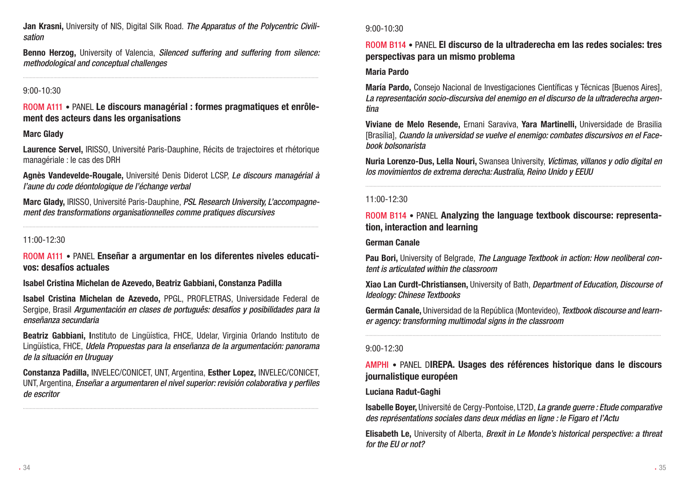Jan Krasni, University of NIS, Digital Silk Road. *The Apparatus of the Polycentric Civilisation*

Benno Herzog, University of Valencia, *Silenced suffering and suffering from silence: methodological and conceptual challenges*

.....................................................................................................................................................................................................................

### 9:00-10:30

ROOM A111 • PANEL Le discours managérial : formes pragmatiques et enrôlement des acteurs dans les organisations

### Marc Glady

Laurence Servel, IRISSO, Université Paris-Dauphine, Récits de trajectoires et rhétorique managériale : le cas des DRH

Agnès Vandevelde-Rougale, Université Denis Diderot LCSP, *Le discours managérial à l'aune du code déontologique de l'échange verbal*

Marc Glady, IRISSO, Université Paris-Dauphine, *PSL Research University, L'accompagnement des transformations organisationnelles comme pratiques discursives*

.....................................................................................................................................................................................................................

### 11:00-12:30

ROOM A111 • PANEL Enseñar a argumentar en los diferentes niveles educativos: desafíos actuales

Isabel Cristina Michelan de Azevedo, Beatriz Gabbiani, Constanza Padilla

Isabel Cristina Michelan de Azevedo, PPGL, PROFLETRAS, Universidade Federal de Sergipe, Brasil *Argumentación en clases de português: desafíos y posibilidades para la enseñanza secundaria*

Beatriz Gabbiani, Instituto de Lingüística, FHCE, Udelar, Virginia Orlando Instituto de Lingüística, FHCE, *Udela Propuestas para la enseñanza de la argumentación: panorama de la situación en Uruguay*

Constanza Padilla, INVELEC/CONICET, UNT, Argentina, Esther Lopez, INVELEC/CONICET, UNT, Argentina, *Enseñar a argumentaren el nivel superior: revisión colaborativa y perfiles de escritor*

### 9:00-10:30

### ROOM B114 • PANEL El discurso de la ultraderecha em las redes sociales: tres perspectivas para un mismo problema

### Maria Pardo

María Pardo, Consejo Nacional de Investigaciones Científicas y Técnicas [Buenos Aires], *La representación socio-discursiva del enemigo en el discurso de la ultraderecha argentina*

Viviane de Melo Resende, Ernani Saraviva, Yara Martinelli, Universidade de Brasilia [Brasília], *Cuando la universidad se vuelve el enemigo: combates discursivos en el Facebook bolsonarista*

Nuria Lorenzo-Dus, Lella Nouri, Swansea University, *Víctimas, villanos y odio digital en los movimientos de extrema derecha: Australia, Reino Unido y EEUU*

.....................................................................................................................................................................................................................

### 11:00-12:30

### ROOM B114 • PANEL Analyzing the language textbook discourse: representation, interaction and learning

#### German Canale

Pau Bori, University of Belgrade, *The Language Textbook in action: How neoliberal content is articulated within the classroom*

Xiao Lan Curdt-Christiansen, University of Bath, *Department of Education, Discourse of Ideology: Chinese Textbooks*

Germán Canale, Universidad de la República (Montevideo), *Textbook discourse and learner agency: transforming multimodal signs in the classroom*

### 9:00-12:30

### AMPHI • PANEL DIREPA. Usages des références historique dans le discours journalistique européen

### Luciana Radut-Gaghi

Isabelle Boyer, Université de Cergy-Pontoise, LT2D, *La grande guerre : Etude comparative des représentations sociales dans deux médias en ligne : le Figaro et l'Actu*

Elisabeth Le, University of Alberta, *Brexit in Le Monde's historical perspective: a threat for the EU or not?*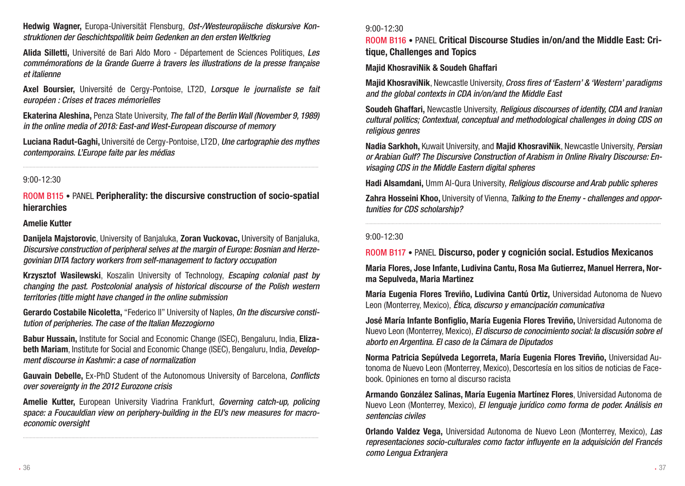Hedwig Wagner, Europa-Universität Flensburg, *Ost-/Westeuropäische diskursive Konstruktionen der Geschichtspolitik beim Gedenken an den ersten Weltkrieg*

Alida Silletti, Université de Bari Aldo Moro - Département de Sciences Politiques, *Les commémorations de la Grande Guerre à travers les illustrations de la presse française et italienne*

Axel Boursier, Université de Cergy-Pontoise, LT2D, *Lorsque le journaliste se fait européen : Crises et traces mémorielles*

Ekaterina Aleshina, Penza State University, *The fall of the Berlin Wall (November 9, 1989) in the online media of 2018: East-and West-European discourse of memory*

Luciana Radut-Gaghi, Université de Cergy-Pontoise, LT2D, *Une cartographie des mythes contemporains. L'Europe faite par les médias*

.....................................................................................................................................................................................................................

### 9:00-12:30

ROOM B115 • PANEL Peripherality: the discursive construction of socio-spatial hierarchies

### Amelie Kutter

Danijela Majstorovic, University of Banjaluka, Zoran Vuckovac, University of Banjaluka, *Discursive construction of peripheral selves at the margin of Europe: Bosnian and Herzegovinian DITA factory workers from self-management to factory occupation*

Krzysztof Wasilewski, Koszalin University of Technology, *Escaping colonial past by changing the past. Postcolonial analysis of historical discourse of the Polish western territories (title might have changed in the online submission*

Gerardo Costabile Nicoletta, "Federico II" University of Naples, *On the discursive constitution of peripheries. The case of the Italian Mezzogiorno*

Babur Hussain, Institute for Social and Economic Change (ISEC), Bengaluru, India, Elizabeth Mariam, Institute for Social and Economic Change (ISEC), Bengaluru, India, *Development discourse in Kashmir: a case of normalization*

Gauvain Debelle, Ex-PhD Student of the Autonomous University of Barcelona, *Conflicts over sovereignty in the 2012 Eurozone crisis*

Amelie Kutter, European University Viadrina Frankfurt, *Governing catch-up, policing space: a Foucauldian view on periphery-building in the EU's new measures for macroeconomic oversight*

#### 9:00-12:30

ROOM B116 • PANEL Critical Discourse Studies in/on/and the Middle East: Critique, Challenges and Topics

### Majid KhosraviNik & Soudeh Ghaffari

Majid KhosraviNik, Newcastle University, *Cross fires of 'Eastern' & 'Western' paradigms and the global contexts in CDA in/on/and the Middle East*

Soudeh Ghaffari, Newcastle University, *Religious discourses of identity, CDA and Iranian cultural politics; Contextual, conceptual and methodological challenges in doing CDS on religious genres*

Nadia Sarkhoh, Kuwait University, and Majid KhosraviNik, Newcastle University, *Persian or Arabian Gulf? The Discursive Construction of Arabism in Online Rivalry Discourse: Envisaging CDS in the Middle Eastern digital spheres*

Hadi Alsamdani, Umm Al-Qura University, *Religious discourse and Arab public spheres*

Zahra Hosseini Khoo, University of Vienna, *Talking to the Enemy - challenges and opportunities for CDS scholarship?*

### 9:00-12:30

ROOM B117 • PANEL Discurso, poder y cognición social. Estudios Mexicanos

Maria Flores, Jose Infante, Ludivina Cantu, Rosa Ma Gutierrez, Manuel Herrera, Norma Sepulveda, Maria Martinez

María Eugenia Flores Treviño, Ludivina Cantú Ortiz, Universidad Autonoma de Nuevo Leon (Monterrey, Mexico), *Ética, discurso y emancipación comunicativa*

José María Infante Bonfiglio, María Eugenia Flores Treviño, Universidad Autonoma de Nuevo Leon (Monterrey, Mexico), *El discurso de conocimiento social: la discusión sobre el aborto en Argentina. El caso de la Cámara de Diputados*

Norma Patricia Sepúlveda Legorreta, María Eugenia Flores Treviño, Universidad Autonoma de Nuevo Leon (Monterrey, Mexico), Descortesía en los sitios de noticias de Facebook. Opiniones en torno al discurso racista

Armando González Salinas, María Eugenia Martínez Flores, Universidad Autonoma de Nuevo Leon (Monterrey, Mexico), *El lenguaje jurídico como forma de poder. Análisis en sentencias civiles*

Orlando Valdez Vega, Universidad Autonoma de Nuevo Leon (Monterrey, Mexico), *Las representaciones socio-culturales como factor influyente en la adquisición del Francés como Lengua Extranjera*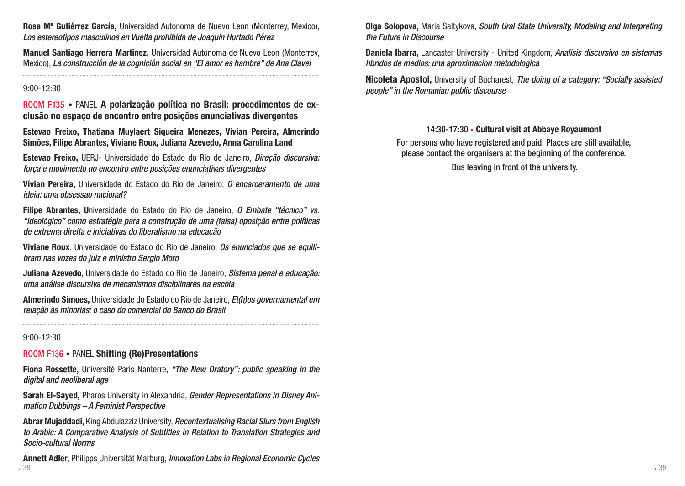Rosa Mª Gutiérrez García, Universidad Autonoma de Nuevo Leon (Monterrey, Mexico), *Los estereotipos masculinos en Vuelta prohibida de Joaquín Hurtado Pérez*

Manuel Santiago Herrera Martinez, Universidad Autonoma de Nuevo Leon (Monterrey, Mexico), *La construcción de la cognición social en "El amor es hambre" de Ana Clavel*

.....................................................................................................................................................................................................................

#### 9:00-12:30

ROOM F135 • PANEL A polarização política no Brasil: procedimentos de exclusão no espaço de encontro entre posições enunciativas divergentes

Estevao Freixo, Thatiana Muylaert Siqueira Menezes, Vívian Pereira, Almerindo Simões, Filipe Abrantes, Viviane Roux, Juliana Azevedo, Anna Carolina Land

Estevao Freixo, UERJ- Universidade do Estado do Rio de Janeiro, *Direção discursiva: força e movimento no encontro entre posições enunciativas divergentes*

Vívian Pereira, Universidade do Estado do Rio de Janeiro, *O encarceramento de uma ideia: uma obsessao nacional?* 

Filipe Abrantes, Universidade do Estado do Rio de Janeiro, *O Embate "técnico" vs. "ideológico" como estratégia para a construção de uma (falsa) oposição entre políticas de extrema direita e iniciativas do liberalismo na educação*

Viviane Roux, Universidade do Estado do Rio de Janeiro, *Os enunciados que se equilibram nas vozes do juiz e ministro Sergio Moro*

Juliana Azevedo, Universidade do Estado do Rio de Janeiro, *Sistema penal e educação: uma análise discursiva de mecanismos disciplinares na escola*

Almerindo Simoes, Universidade do Estado do Rio de Janeiro, *Et(h)os governamental em relação às minorias: o caso do comercial do Banco do Brasil*

#### 9:00-12:30

### ROOM F136 • PANEL Shifting (Re)Presentations

Fiona Rossette, Université Paris Nanterre, *"The New Oratory": public speaking in the digital and neoliberal age*

Sarah El-Sayed, Pharos University in Alexandria, *Gender Representations in Disney Animation Dubbings – A Feminist Perspective*

Abrar Mujaddadi, King Abdulazziz University, *Recontextualising Racial Slurs from English to Arabic: A Comparative Analysis of Subtitles in Relation to Translation Strategies and Socio-cultural Norms*

 $38$ Annett Adler, Philipps Universität Marburg, *Innovation Labs in Regional Economic Cycles*

Olga Solopova, Maria Saltykova, *South Ural State University, Modeling and Interpreting the Future in Discourse*

Daniela Ibarra, Lancaster University - United Kingdom, *Analisis discursivo en sistemas hbridos de medios: una aproximacion metodologica*

Nicoleta Apostol, University of Bucharest, *The doing of a category: "Socially assisted people" in the Romanian public discourse*

.....................................................................................................................................................................................................................

14:30-17:30 • Cultural visit at Abbaye Royaumont For persons who have registered and paid. Places are still available, please contact the organisers at the beginning of the conference. Bus leaving in front of the university.

.............................................................................................................................................................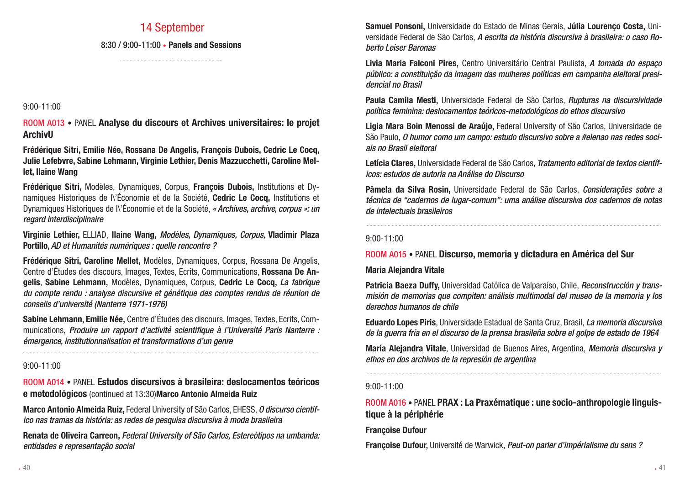### 14 September

### 8:30 / 9:00-11:00 • Panels and Sessions ..........................................................................

### 9:00-11:00

ROOM A013 • PANEL Analyse du discours et Archives universitaires: le projet ArchivU

Frédérique Sitri, Emilie Née, Rossana De Angelis, François Dubois, Cedric Le Cocq, Julie Lefebvre, Sabine Lehmann, Virginie Lethier, Denis Mazzucchetti, Caroline Mellet, Ilaine Wang

Frédérique Sitri, Modèles, Dynamiques, Corpus, François Dubois, Institutions et Dynamiques Historiques de l'Économie et de la Société, Cedric Le Cocq, Institutions et Dynamiques Historiques de l\'Économie et de la Société, *« Archives, archive, corpus »: un regard interdisciplinaire* 

Virginie Lethier, ELLIAD, Ilaine Wang, *Modèles, Dynamiques, Corpus,* Vladimir Plaza Portillo*, AD et Humanités numériques : quelle rencontre ?*

Frédérique Sitri, Caroline Mellet, Modèles, Dynamiques, Corpus, Rossana De Angelis, Centre d'Études des discours, Images, Textes, Ecrits, Communications, Rossana De Angelis, Sabine Lehmann, Modèles, Dynamiques, Corpus, Cedric Le Cocq, *La fabrique du compte rendu : analyse discursive et génétique des comptes rendus de réunion de conseils d'université (Nanterre 1971-1976)*

Sabine Lehmann, Emilie Née, Centre d'Études des discours, Images, Textes, Ecrits, Communications, *Produire un rapport d'activité scientifique à l'Université Paris Nanterre : émergence, institutionnalisation et transformations d'un genre*

.....................................................................................................................................................................................................................

### 9:00-11:00

ROOM A014 • PANEL Estudos discursivos à brasileira: deslocamentos teóricos e metodológicos (continued at 13:30)Marco Antonio Almeida Ruiz

Marco Antonio Almeida Ruiz, Federal University of São Carlos, EHESS, *O discurso científico nas tramas da história: as redes de pesquisa discursiva à moda brasileira*

Renata de Oliveira Carreon, *Federal University of São Carlos, Estereótipos na umbanda: entidades e representação social*

Samuel Ponsoni, Universidade do Estado de Minas Gerais, Júlia Lourenço Costa, Universidade Federal de São Carlos, *A escrita da história discursiva à brasileira: o caso Roberto Leiser Baronas*

Livia Maria Falconi Pires, Centro Universitário Central Paulista, *A tomada do espaço público: a constituição da imagem das mulheres políticas em campanha eleitoral presidencial no Brasil*

Paula Camila Mesti, Universidade Federal de São Carlos, *Rupturas na discursividade política feminina: deslocamentos teóricos-metodológicos do ethos discursivo*

Ligia Mara Boin Menossi de Araújo, Federal University of São Carlos, Universidade de São Paulo, *O humor como um campo: estudo discursivo sobre a #elenao nas redes sociais no Brasil eleitoral*

Letícia Clares, Universidade Federal de São Carlos, *Tratamento editorial de textos científicos: estudos de autoria na Análise do Discurso*

Pâmela da Silva Rosin, Universidade Federal de São Carlos, *Considerações sobre a técnica de "cadernos de lugar-comum": uma análise discursiva dos cadernos de notas de intelectuais brasileiros*

### 9:00-11:00

### ROOM A015 • PANEL Discurso, memoria y dictadura en América del Sur

### Maria Alejandra Vitale

Patricia Baeza Duffy, Universidad Católica de Valparaíso, Chile, *Reconstrucción y transmisión de memorias que compiten: análisis multimodal del museo de la memoria y los derechos humanos de chile*

Eduardo Lopes Piris, Universidade Estadual de Santa Cruz, Brasil, *La memoria discursiva de la guerra fría en el discurso de la prensa brasileña sobre el golpe de estado de 1964*

María Alejandra Vitale, Universidad de Buenos Aires, Argentina, *Memoria discursiva y ethos en dos archivos de la represión de argentina*

### 9:00-11:00

ROOM A016 • PANEL PRAX : La Praxématique : une socio-anthropologie linguistique à la périphérie

Françoise Dufour

Françoise Dufour, Université de Warwick, *Peut-on parler d'impérialisme du sens ?*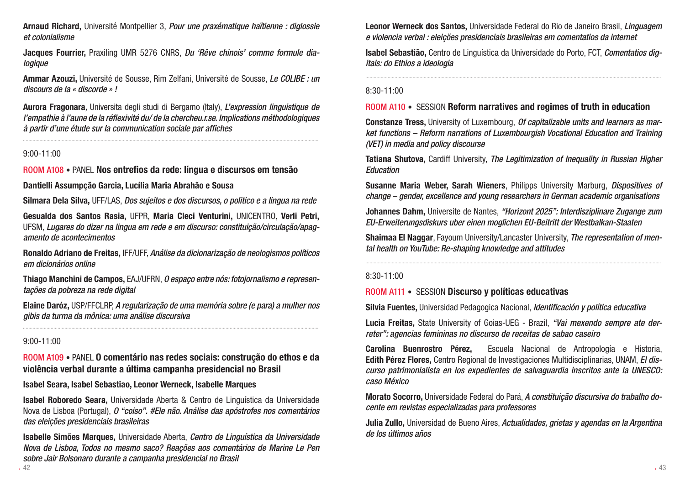Arnaud Richard, Université Montpellier 3, *Pour une praxématique haïtienne : diglossie et colonialisme*

Jacques Fourrier, Praxiling UMR 5276 CNRS, *Du 'Rêve chinois' comme formule dialogique*

Ammar Azouzi, Université de Sousse, Rim Zelfani, Université de Sousse, *Le COLIBE : un discours de la « discorde » !*

Aurora Fragonara*,* Universita degli studi di Bergamo (Italy), *L'expression linguistique de l'empathie à l'aune de la réflexivité du/ de la chercheu.r.se. Implications méthodologiques à partir d'une étude sur la communication sociale par affiches*

.....................................................................................................................................................................................................................

### 9:00-11:00

ROOM A108 • PANEL Nos entrefios da rede: língua e discursos em tensão

### Dantielli Assumpção Garcia, Lucília Maria Abrahão e Sousa

Silmara Dela Silva, UFF/LAS, *Dos sujeitos e dos discursos, o politico e a lingua na rede*

Gesualda dos Santos Rasia, UFPR, Maria Cleci Venturini, UNICENTRO, Verli Petri, UFSM, *Lugares do dizer na lingua em rede e em discurso: constituição/circulação/apagamento de acontecimentos*

Ronaldo Adriano de Freitas, IFF/UFF, *Análise da dicionarização de neologismos políticos em dicionários online*

Thiago Manchini de Campos, EAJ/UFRN, *O espaço entre nós: fotojornalismo e representações da pobreza na rede digital*

Elaine Daróz, USP/FFCLRP, *A regularização de uma memória sobre (e para) a mulher nos gibis da turma da mônica: uma análise discursiva*

### 9:00-11:00

ROOM A109 • PANEL O comentário nas redes sociais: construção do ethos e da violência verbal durante a última campanha presidencial no Brasil

Isabel Seara, Isabel Sebastiao, Leonor Werneck, Isabelle Marques

Isabel Roboredo Seara, Universidade Aberta & Centro de Linguística da Universidade Nova de Lisboa (Portugal), *O "coiso". #Ele não. Análise das apóstrofes nos comentários das eleições presidenciais brasileiras*

42 and the set of the set of the set of the set of the set of the set of the set of the set of the set of the set of the set of the set of the set of the set of the set of the set of the set of the set of the set of the se Isabelle Simões Marques, Universidade Aberta, *Centro de Linguística da Universidade Nova de Lisboa, Todos no mesmo saco? Reações aos comentários de Marine Le Pen sobre Jair Bolsonaro durante a campanha presidencial no Brasil*

Leonor Werneck dos Santos, Universidade Federal do Rio de Janeiro Brasil, *Linguagem e violencia verbal : eleiçöes presidenciais brasileiras em comentatios da internet*

Isabel Sebastião, Centro de Linguística da Universidade do Porto, FCT, *Comentatios digitais: do Ethios a ideologia*

.....................................................................................................................................................................................................................

### 8:30-11:00

### ROOM A110 • SESSION Reform narratives and regimes of truth in education

Constanze Tress, University of Luxembourg, *Of capitalizable units and learners as market functions – Reform narrations of Luxembourgish Vocational Education and Training (VET) in media and policy discourse*

Tatiana Shutova, Cardiff University, *The Legitimization of Inequality in Russian Higher Education*

Susanne Maria Weber, Sarah Wieners, Philipps University Marburg, *Dispositives of change – gender, excellence and young researchers in German academic organisations*

Johannes Dahm, Universite de Nantes, *"Horizont 2025": Interdisziplinare Zugange zum EU-Erweiterungsdiskurs uber einen moglichen EU-Beitritt der Westbalkan-Staaten*

Shaimaa El Naggar, Fayoum University/Lancaster University, *The representation of mental health on YouTube: Re-shaping knowledge and attitudes*

### 8:30-11:00

### ROOM A111 • SESSION Discurso y políticas educativas

Silvia Fuentes, Universidad Pedagogica Nacional, *Identificación y política educativa*

Lucia Freitas, State University of Goias-UEG - Brazil, *"Vai mexendo sempre ate derreter": agencias femininas no discurso de receitas de sabao caseiro*

Carolina Buenrostro Pérez, Escuela Nacional de Antropología e Historia, Edith Pérez Flores, Centro Regional de Investigaciones Multidisciplinarias, UNAM, *El discurso patrimonialista en los expedientes de salvaguardia inscritos ante la UNESCO: caso México*

Morato Socorro, Universidade Federal do Pará, *A constituição discursiva do trabalho docente em revistas especializadas para professores*

Julia Zullo, Universidad de Bueno Aires, *Actualidades, grietas y agendas en la Argentina de los últimos años*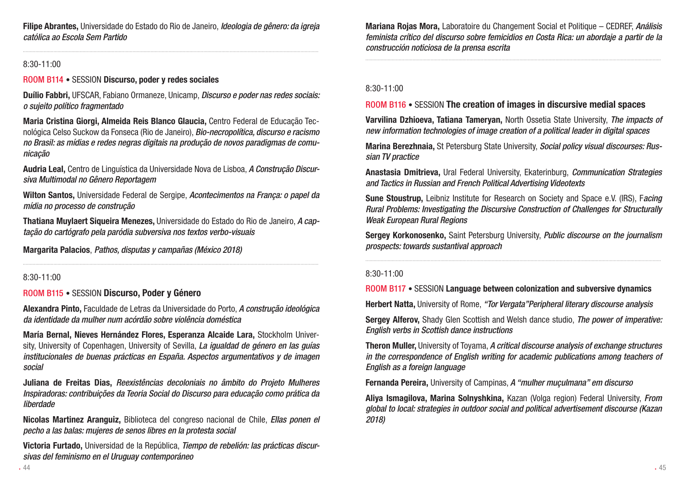Filipe Abrantes, Universidade do Estado do Rio de Janeiro, *Ideologia de gênero: da igreja católica ao Escola Sem Partido*

.....................................................................................................................................................................................................................

### 8:30-11:00

### ROOM B114 • SESSION Discurso, poder y redes sociales

Duílio Fabbri, UFSCAR, Fabiano Ormaneze, Unicamp, *Discurso e poder nas redes sociais: o sujeito político fragmentado* 

Maria Cristina Giorgi, Almeida Reis Blanco Glaucia, Centro Federal de Educação Tecnológica Celso Suckow da Fonseca (Rio de Janeiro), *Bio-necropolítica, discurso e racismo no Brasil: as mídias e redes negras digitais na produção de novos paradigmas de comunicação*

Audria Leal, Centro de Linguística da Universidade Nova de Lisboa, *A Construção Discursiva Multimodal no Gênero Reportagem*

Wilton Santos, Universidade Federal de Sergipe, *Acontecimentos na França: o papel da mídia no processo de construção*

Thatiana Muylaert Siqueira Menezes, Universidade do Estado do Rio de Janeiro, *A captação do cartógrafo pela paródia subversiva nos textos verbo-visuais*

.....................................................................................................................................................................................................................

Margarita Palacios, *Pathos, disputas y campañas (México 2018)*

#### 8:30-11:00

#### ROOM B115 • SESSION Discurso, Poder y Género

Alexandra Pinto, Faculdade de Letras da Universidade do Porto, *A construção ideológica da identidade da mulher num acórdão sobre violência doméstica*

María Bernal, Nieves Hernández Flores, Esperanza Alcaide Lara, Stockholm University, University of Copenhagen, University of Sevilla, *La igualdad de género en las guías institucionales de buenas prácticas en España. Aspectos argumentativos y de imagen social*

Juliana de Freitas Dias, *Reexistências decoloniais no âmbito do Projeto Mulheres Inspiradoras: contribuições da Teoria Social do Discurso para educação como prática da liberdade*

Nicolas Martinez Aranguiz, Biblioteca del congreso nacional de Chile, *Ellas ponen el pecho a las balas: mujeres de senos libres en la protesta social*

Victoria Furtado, Universidad de la República, *Tiempo de rebelión: las prácticas discursivas del feminismo en el Uruguay contemporáneo*

Mariana Rojas Mora, Laboratoire du Changement Social et Politique – CEDREF, *Análisis feminista crítico del discurso sobre femicidios en Costa Rica: un abordaje a partir de la construcción noticiosa de la prensa escrita*

.....................................................................................................................................................................................................................

### 8:30-11:00

#### ROOM B116 • SESSION The creation of images in discursive medial spaces

Varvilina Dzhioeva, Tatiana Tameryan, North Ossetia State University, *The impacts of new information technologies of image creation of a political leader in digital spaces*

Marina Berezhnaia, St Petersburg State University, *Social policy visual discourses: Russian TV practice*

Anastasia Dmitrieva, Ural Federal University, Ekaterinburg, *Communication Strategies and Tactics in Russian and French Political Advertising Videotexts*

Sune Stoustrup, Leibniz Institute for Research on Society and Space e.V. (IRS), F*acing Rural Problems: Investigating the Discursive Construction of Challenges for Structurally Weak European Rural Regions*

Sergey Korkonosenko, Saint Petersburg University, *Public discourse on the journalism prospects: towards sustantival approach*

.....................................................................................................................................................................................................................

#### 8:30-11:00

ROOM B117 • SESSION Language between colonization and subversive dynamics

Herbert Natta, University of Rome, *"Tor Vergata"Peripheral literary discourse analysis*

Sergey Alferov, Shady Glen Scottish and Welsh dance studio, *The power of imperative: English verbs in Scottish dance instructions*

Theron Muller, University of Toyama, *A critical discourse analysis of exchange structures in the correspondence of English writing for academic publications among teachers of English as a foreign language*

Fernanda Pereira, University of Campinas, *A "mulher muçulmana" em discurso*

Aliya Ismagilova, Marina Solnyshkina, Kazan (Volga region) Federal University, *From global to local: strategies in outdoor social and political advertisement discourse (Kazan 2018)*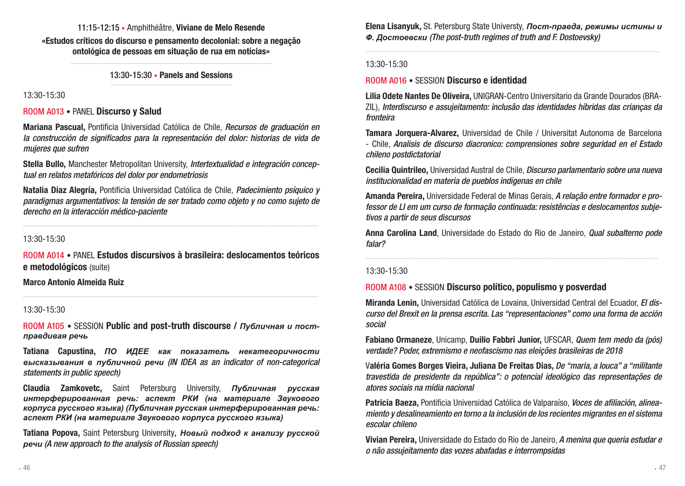### 11:15-12:15 • Amphithéâtre, Viviane de Melo Resende

«Estudos críticos do discurso e pensamento decolonial: sobre a negação ontológica de pessoas em situação de rua em notícias»

> ................................................................................................................................................. 13:30-15:30 • Panels and Sessions .......................................................................................

13:30-15:30

### ROOM A013 • PANEL Discurso y Salud

Mariana Pascual, Pontificia Universidad Católica de Chile, *Recursos de graduación en la construcción de significados para la representación del dolor: historias de vida de mujeres que sufren*

Stella Bullo, Manchester Metropolitan University, *Intertextualidad e integración conceptual en relatos metafóricos del dolor por endometriosis*

Natalia Díaz Alegría, Pontificia Universidad Católica de Chile, *Padecimiento psíquico y paradigmas argumentativos: la tensión de ser tratado como objeto y no como sujeto de derecho en la interacción médico-paciente*

.....................................................................................................................................................................................................................

13:30-15:30

ROOM A014 • PANEL Estudos discursivos à brasileira: deslocamentos teóricos e metodológicos (suite)

.....................................................................................................................................................................................................................

Marco Antonio Almeida Ruiz

#### 13:30-15:30

ROOM A105 • SESSION Public and post-truth discourse / *Публичная и постправдивая речь*

Tatiana Capustina, *ПО ИДЕЕ как показатель некатегоричности высказывания в публичной речи (IN IDEA as an indicator of non-categorical statements in public speech)*

Claudia Zamkovetc, Saint Petersburg University, *Публичная русская интерферированная речь: аспект РКИ (на материале Звукового корпуса русского языка) (Публичная русская интерферированная речь: аспект РКИ (на материале Звукового корпуса русского языка)*

Tatiana Popova, Saint Petersburg University*, Новый подход к анализу русской речи (A new approach to the analysis of Russian speech)*

Elena Lisanyuk, St. Petersburg State Universty, *Пост-правда, режимы истины и Ф. Достоевски (The post-truth regimes of truth and F. Dostoevsky)*

....................................................................................................................................................................................................................

#### 13:30-15:30

### ROOM A016 • SESSION Discurso e identidad

Lilia Odete Nantes De Oliveira, UNIGRAN-Centro Universitario da Grande Dourados (BRA-ZIL), *Interdiscurso e assujeitamento: inclusão das identidades híbridas das crianças da fronteira*

Tamara Jorquera-Alvarez, Universidad de Chile / Universitat Autonoma de Barcelona - Chile, *Analisis de discurso diacronico: comprensiones sobre seguridad en el Estado chileno postdictatorial*

Cecilia Quintrileo, Universidad Austral de Chile, *Discurso parlamentario sobre una nueva institucionalidad en materia de pueblos indígenas en chile*

Amanda Pereira, Universidade Federal de Minas Gerais, *A relação entre formador e professor de LI em um curso de formação continuada: resistências e deslocamentos subjetivos a partir de seus discursos*

Anna Carolina Land, Universidade do Estado do Rio de Janeiro, *Qual subalterno pode falar?*

...................................................................................................................................................................................................................

#### 13:30-15:30

### ROOM A108 • SESSION Discurso político, populismo y posverdad

Miranda Lenin, Universidad Católica de Lovaina, Universidad Central del Ecuador, *El discurso del Brexit en la prensa escrita. Las "representaciones" como una forma de acción social*

Fabiano Ormaneze, Unicamp, Duilio Fabbri Junior, UFSCAR, *Quem tem medo da (pós) verdade? Poder, extremismo e neofascismo nas eleições brasileiras de 2018*

Valéria Gomes Borges Vieira, Juliana De Freitas Dias, *De "maria, a louca" a "militante travestida de presidente da república": o potencial ideológico das representações de atores sociais na mídia nacional*

Patricia Baeza, Pontificia Universidad Católica de Valparaíso, *Voces de afiliación, alineamiento y desalineamiento en torno a la inclusión de los recientes migrantes en el sistema escolar chileno*

Vivian Pereira, Universidade do Estado do Rio de Janeiro, *A menina que queria estudar e o não assujeitamento das vozes abafadas e interrompsidas*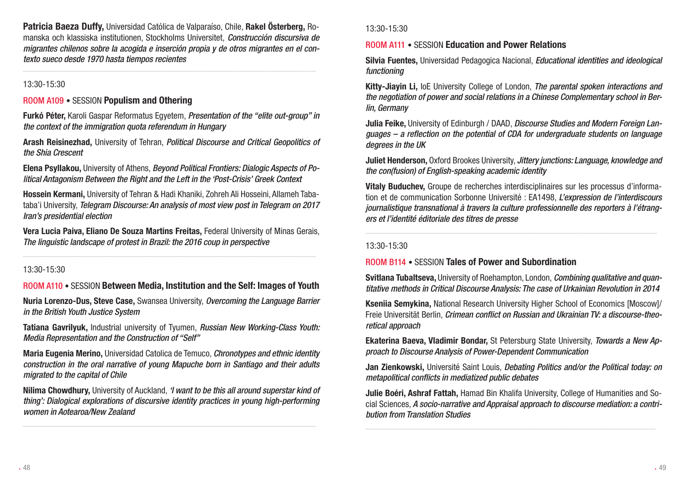Patricia Baeza Duffy, Universidad Católica de Valparaíso, Chile, Rakel Österberg, Romanska och klassiska institutionen, Stockholms Universitet, *Construcción discursiva de migrantes chilenos sobre la acogida e inserción propia y de otros migrantes en el contexto sueco desde 1970 hasta tiempos recientes*

...................................................................................................................................................................................................................

### 13:30-15:30

### ROOM A109 • SESSION Populism and Othering

Furkó Péter, Karoli Gaspar Reformatus Egyetem, *Presentation of the "elite out-group" in the context of the immigration quota referendum in Hungary*

Arash Reisinezhad, University of Tehran, *Political Discourse and Critical Geopolitics of the Shia Crescent*

Elena Psyllakou, University of Athens, *Beyond Political Frontiers: Dialogic Aspects of Political Antagonism Between the Right and the Left in the 'Post-Crisis' Greek Context*

Hossein Kermani, University of Tehran & Hadi Khaniki, Zohreh Ali Hosseini, Allameh Tabataba'i University, *Telegram Discourse: An analysis of most view post in Telegram on 2017 Iran's presidential election*

Vera Lucia Paiva, Eliano De Souza Martins Freitas, Federal University of Minas Gerais, *The linguistic landscape of protest in Brazil: the 2016 coup in perspective*

...................................................................................................................................................................................................................

#### 13:30-15:30

### ROOM A110 • SESSION Between Media, Institution and the Self: Images of Youth

Nuria Lorenzo-Dus, Steve Case, Swansea University, *Overcoming the Language Barrier in the British Youth Justice System*

Tatiana Gavrilyuk, Industrial university of Tyumen, *Russian New Working-Class Youth: Media Representation and the Construction of "Self"*

Maria Eugenia Merino, Universidad Catolica de Temuco, *Chronotypes and ethnic identity construction in the oral narrative of young Mapuche born in Santiago and their adults migrated to the capital of Chile*

Nilima Chowdhury, University of Auckland, *'I want to be this all around superstar kind of thing': Dialogical explorations of discursive identity practices in young high-performing women in Aotearoa/New Zealand*

### 13:30-15:30

### ROOM A111 • SESSION Education and Power Relations

Silvia Fuentes, Universidad Pedagogica Nacional, *Educational identities and ideological functioning*

Kitty-Jiayin Li, IoE University College of London, *The parental spoken interactions and the negotiation of power and social relations in a Chinese Complementary school in Berlin, Germany*

Julia Feike, University of Edinburgh / DAAD, *Discourse Studies and Modern Foreign Languages – a reflection on the potential of CDA for undergraduate students on language degrees in the UK*

Juliet Henderson, Oxford Brookes University, *Jittery junctions: Language, knowledge and the con(fusion) of English-speaking academic identity*

Vitaly Buduchev, Groupe de recherches interdisciplinaires sur les processus d'information et de communication Sorbonne Université : EA1498, *L'expression de l'interdiscours journalistique transnational à travers la culture professionnelle des reporters à l'étrangers et l'identité éditoriale des titres de presse*

..................................................................................................................................................................................................................

13:30-15:30

### ROOM B114 • SESSION Tales of Power and Subordination

Svitlana Tubaltseva, University of Roehampton, London, *Combining qualitative and quantitative methods in Critical Discourse Analysis: The case of Urkainian Revolution in 2014*

Kseniia Semykina, National Research University Higher School of Economics [Moscow]/ Freie Universität Berlin, *Crimean conflict on Russian and Ukrainian TV: a discourse-theoretical approach*

Ekaterina Baeva, Vladimir Bondar, St Petersburg State University, *Towards a New Approach to Discourse Analysis of Power-Dependent Communication*

Jan Zienkowski, Université Saint Louis, *Debating Politics and/or the Political today: on metapolitical conflicts in mediatized public debates*

Julie Boéri, Ashraf Fattah, Hamad Bin Khalifa University, College of Humanities and Social Sciences, *A socio-narrative and Appraisal approach to discourse mediation: a contribution from Translation Studies*